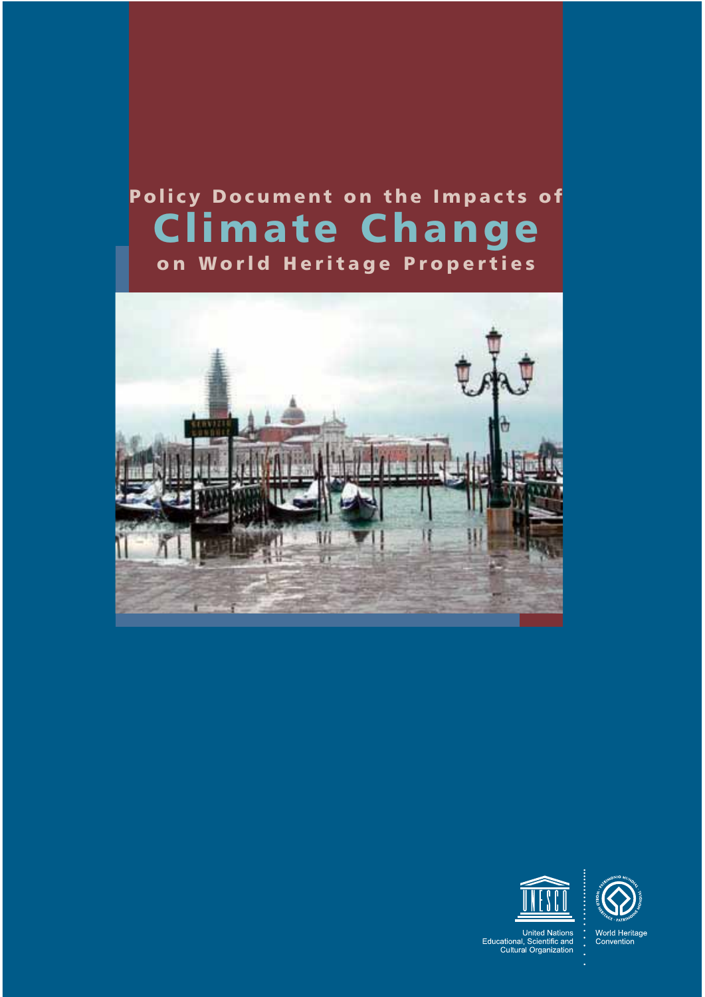# Policy Document on the Impacts of Climate Change on World Heritage Properties







United Nations<br>Educational, Scientific and<br>Cultural Organization

World Heritage<br>Convention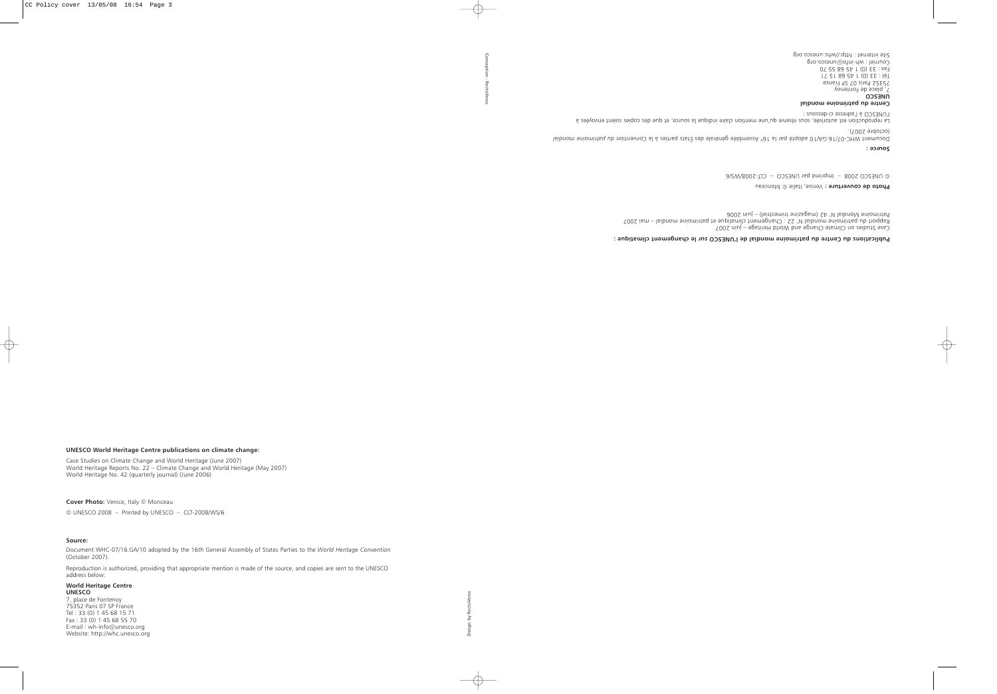# **UNESCO World Heritage Centre publications on climate change:**

Case Studies on Climate Change and World Heritage (June 2007) World Heritage Reports No. 22 – Climate Change and World Heritage (May 2007) World Heritage No. 42 (quarterly journal) (June 2006)

**Cover Photo:** Venice, Italy © Monceau © UNESCO 2008 – Printed by UNESCO – CLT-2008/WS/6

#### **Source:**

Document WHC-07/16.GA/10 adopted by the 16th General Assembly of States Parties to the *World Heritage Convention* (October 2007).

Reproduction is authorized, providing that appropriate mention is made of the source, and copies are sent to the UNESCO address below:

#### **World Heritage Centre UNESCO**

7, place de Fontenoy 75352 Paris 07 SP France Tel : 33 (0) 1 45 68 15 71 Fax : 33 (0) 1 45 68 55 70 E-mail : wh-info@unesco.org Website: http://whc.unesco.org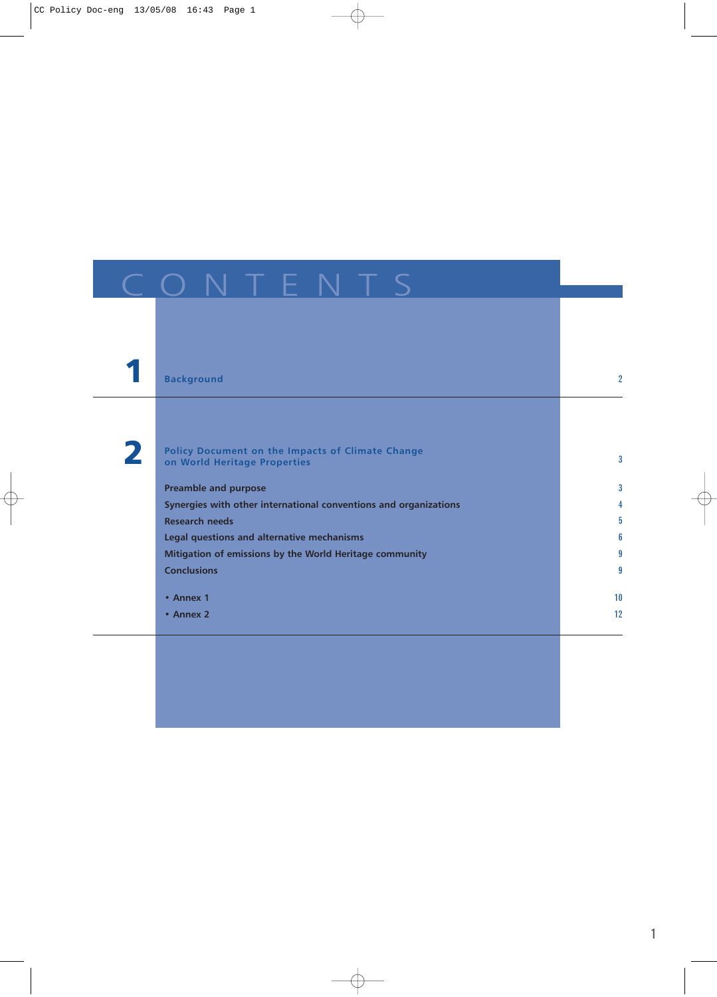|   | <b>Background</b>                                                                | $\overline{2}$ |
|---|----------------------------------------------------------------------------------|----------------|
|   |                                                                                  |                |
|   |                                                                                  |                |
| 2 | Policy Document on the Impacts of Climate Change<br>on World Heritage Properties | 3              |
|   |                                                                                  |                |
|   | <b>Preamble and purpose</b>                                                      | 3              |
|   | Synergies with other international conventions and organizations                 | 4              |
|   | <b>Research needs</b>                                                            | 5              |
|   | Legal questions and alternative mechanisms                                       | 6              |
|   | Mitigation of emissions by the World Heritage community                          | 9              |
|   | <b>Conclusions</b>                                                               | 9              |
|   | • Annex 1                                                                        | 10             |
|   | • Annex 2                                                                        | 12             |
|   |                                                                                  |                |
|   |                                                                                  |                |
|   |                                                                                  |                |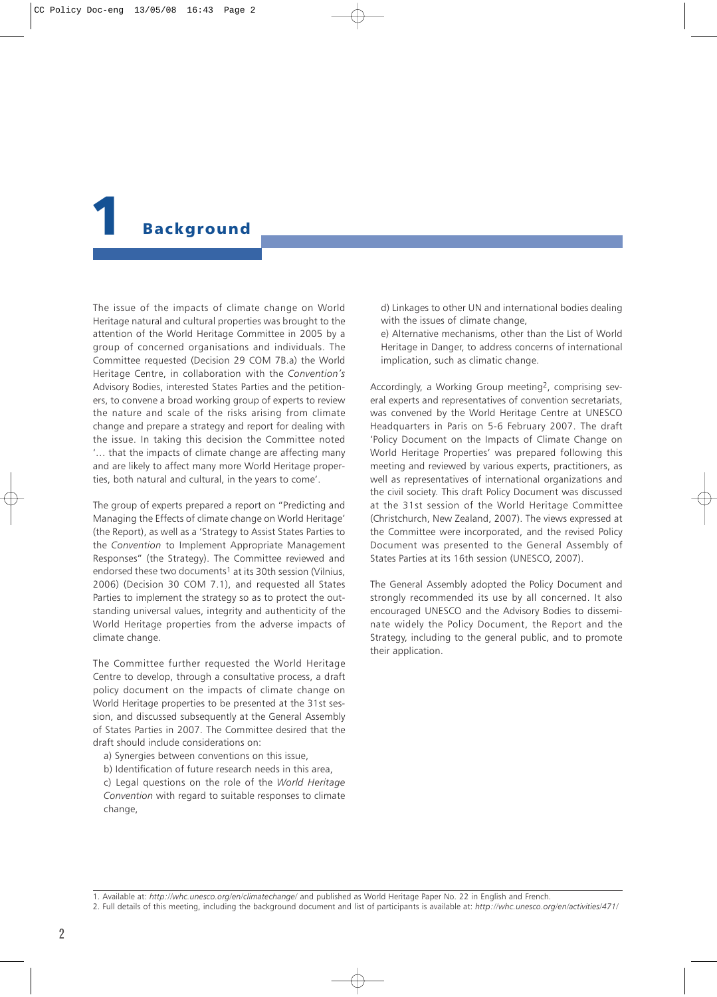# <span id="page-3-0"></span>**Background**

The issue of the impacts of climate change on World Heritage natural and cultural properties was brought to the attention of the World Heritage Committee in 2005 by a group of concerned organisations and individuals. The Committee requested (Decision 29 COM 7B.a) the World Heritage Centre, in collaboration with the *Convention's* Advisory Bodies, interested States Parties and the petitioners, to convene a broad working group of experts to review the nature and scale of the risks arising from climate change and prepare a strategy and report for dealing with the issue. In taking this decision the Committee noted '… that the impacts of climate change are affecting many and are likely to affect many more World Heritage properties, both natural and cultural, in the years to come'.

The group of experts prepared a report on "Predicting and Managing the Effects of climate change on World Heritage' (the Report), as well as a 'Strategy to Assist States Parties to the *Convention* to Implement Appropriate Management Responses" (the Strategy). The Committee reviewed and endorsed these two documents<sup>1</sup> at its 30th session (Vilnius, 2006) (Decision 30 COM 7.1), and requested all States Parties to implement the strategy so as to protect the outstanding universal values, integrity and authenticity of the World Heritage properties from the adverse impacts of climate change.

The Committee further requested the World Heritage Centre to develop, through a consultative process, a draft policy document on the impacts of climate change on World Heritage properties to be presented at the 31st session, and discussed subsequently at the General Assembly of States Parties in 2007. The Committee desired that the draft should include considerations on:

- a) Synergies between conventions on this issue,
- b) Identification of future research needs in this area,

c) Legal questions on the role of the *World Heritage Convention* with regard to suitable responses to climate change,

d) Linkages to other UN and international bodies dealing with the issues of climate change,

e) Alternative mechanisms, other than the List of World Heritage in Danger, to address concerns of international implication, such as climatic change.

Accordingly, a Working Group meeting2, comprising several experts and representatives of convention secretariats, was convened by the World Heritage Centre at UNESCO Headquarters in Paris on 5-6 February 2007. The draft 'Policy Document on the Impacts of Climate Change on World Heritage Properties' was prepared following this meeting and reviewed by various experts, practitioners, as well as representatives of international organizations and the civil society. This draft Policy Document was discussed at the 31st session of the World Heritage Committee (Christchurch, New Zealand, 2007). The views expressed at the Committee were incorporated, and the revised Policy Document was presented to the General Assembly of States Parties at its 16th session (UNESCO, 2007).

The General Assembly adopted the Policy Document and strongly recommended its use by all concerned. It also encouraged UNESCO and the Advisory Bodies to disseminate widely the Policy Document, the Report and the Strategy, including to the general public, and to promote their application.

1. Available at: *http://whc.unesco.org/en/climatechange/* and published as World Heritage Paper No. 22 in English and French.

<sup>2.</sup> Full details of this meeting, including the background document and list of participants is available at: *http://whc.unesco.org/en/activities/471/*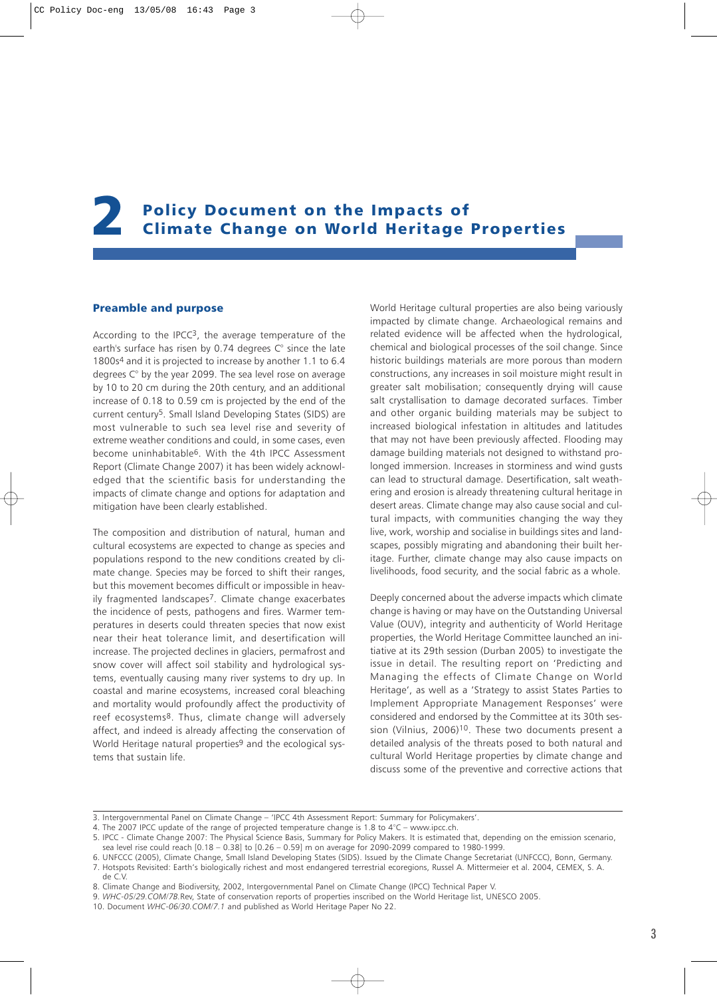# <span id="page-4-0"></span>2 Policy Document on the Impacts of Climate Change on World Heritage Properties

# Preamble and purpose

According to the IPCC3, the average temperature of the earth's surface has risen by 0.74 degrees C° since the late 1800s4 and it is projected to increase by another 1.1 to 6.4 degrees C° by the year 2099. The sea level rose on average by 10 to 20 cm during the 20th century, and an additional increase of 0.18 to 0.59 cm is projected by the end of the current century5. Small Island Developing States (SIDS) are most vulnerable to such sea level rise and severity of extreme weather conditions and could, in some cases, even become uninhabitable6. With the 4th IPCC Assessment Report (Climate Change 2007) it has been widely acknowledged that the scientific basis for understanding the impacts of climate change and options for adaptation and mitigation have been clearly established.

The composition and distribution of natural, human and cultural ecosystems are expected to change as species and populations respond to the new conditions created by climate change. Species may be forced to shift their ranges, but this movement becomes difficult or impossible in heavily fragmented landscapes7. Climate change exacerbates the incidence of pests, pathogens and fires. Warmer temperatures in deserts could threaten species that now exist near their heat tolerance limit, and desertification will increase. The projected declines in glaciers, permafrost and snow cover will affect soil stability and hydrological systems, eventually causing many river systems to dry up. In coastal and marine ecosystems, increased coral bleaching and mortality would profoundly affect the productivity of reef ecosystems8. Thus, climate change will adversely affect, and indeed is already affecting the conservation of World Heritage natural properties<sup>9</sup> and the ecological systems that sustain life.

World Heritage cultural properties are also being variously impacted by climate change. Archaeological remains and related evidence will be affected when the hydrological, chemical and biological processes of the soil change. Since historic buildings materials are more porous than modern constructions, any increases in soil moisture might result in greater salt mobilisation; consequently drying will cause salt crystallisation to damage decorated surfaces. Timber and other organic building materials may be subject to increased biological infestation in altitudes and latitudes that may not have been previously affected. Flooding may damage building materials not designed to withstand prolonged immersion. Increases in storminess and wind gusts can lead to structural damage. Desertification, salt weathering and erosion is already threatening cultural heritage in desert areas. Climate change may also cause social and cultural impacts, with communities changing the way they live, work, worship and socialise in buildings sites and landscapes, possibly migrating and abandoning their built heritage. Further, climate change may also cause impacts on livelihoods, food security, and the social fabric as a whole.

Deeply concerned about the adverse impacts which climate change is having or may have on the Outstanding Universal Value (OUV), integrity and authenticity of World Heritage properties, the World Heritage Committee launched an initiative at its 29th session (Durban 2005) to investigate the issue in detail. The resulting report on 'Predicting and Managing the effects of Climate Change on World Heritage', as well as a 'Strategy to assist States Parties to Implement Appropriate Management Responses' were considered and endorsed by the Committee at its 30th session (Vilnius, 2006)<sup>10</sup>. These two documents present a detailed analysis of the threats posed to both natural and cultural World Heritage properties by climate change and discuss some of the preventive and corrective actions that

<sup>3.</sup> Intergovernmental Panel on Climate Change – 'IPCC 4th Assessment Report: Summary for Policymakers'.

<sup>4.</sup> The 2007 IPCC update of the range of projected temperature change is 1.8 to 4°C – www.ipcc.ch.

<sup>5.</sup> IPCC - Climate Change 2007: The Physical Science Basis, Summary for Policy Makers. It is estimated that, depending on the emission scenario, sea level rise could reach [0.18 – 0.38] to [0.26 – 0.59] m on average for 2090-2099 compared to 1980-1999.

<sup>6.</sup> UNFCCC (2005), Climate Change, Small Island Developing States (SIDS). Issued by the Climate Change Secretariat (UNFCCC), Bonn, Germany. 7. Hotspots Revisited: Earth's biologically richest and most endangered terrestrial ecoregions, Russel A. Mittermeier et al. 2004, CEMEX, S. A. de C.V.

<sup>8.</sup> Climate Change and Biodiversity, 2002, Intergovernmental Panel on Climate Change (IPCC) Technical Paper V.

<sup>9.</sup> *WHC-05/29.COM/7B.*Rev, State of conservation reports of properties inscribed on the World Heritage list, UNESCO 2005.

<sup>10.</sup> Document *WHC-06/30.COM/7.1* and published as World Heritage Paper No 22.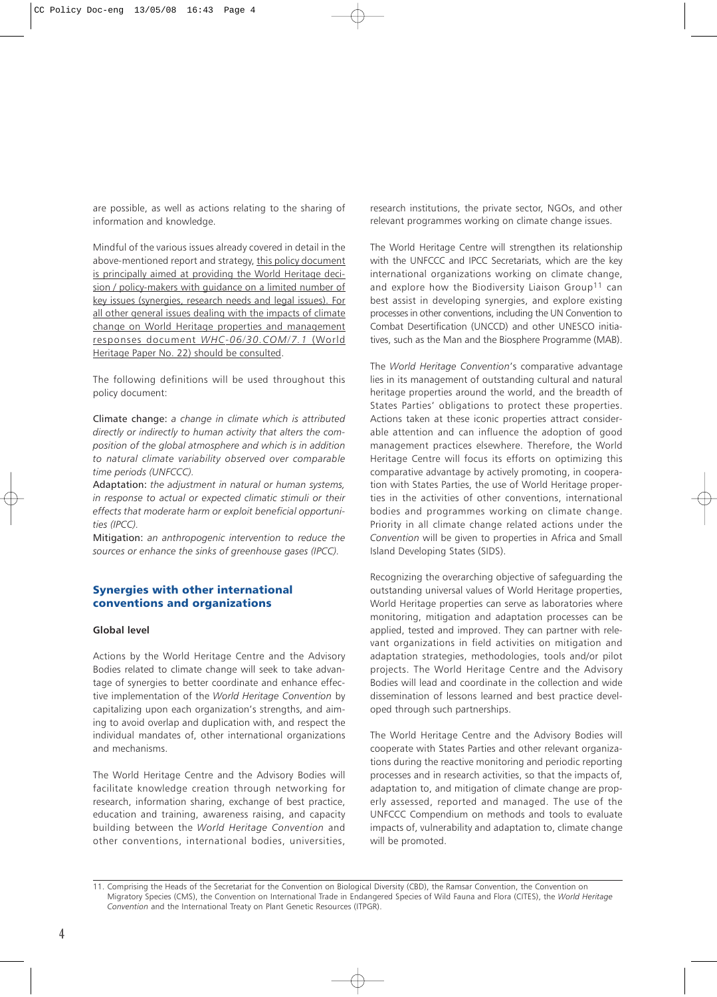<span id="page-5-0"></span>are possible, as well as actions relating to the sharing of information and knowledge.

Mindful of the various issues already covered in detail in the above-mentioned report and strategy, this policy document is principally aimed at providing the World Heritage decision / policy-makers with guidance on a limited number of key issues (synergies, research needs and legal issues). For all other general issues dealing with the impacts of climate change on World Heritage properties and management responses document *WHC-06/30.COM/7.1* (World Heritage Paper No. 22) should be consulted.

The following definitions will be used throughout this policy document:

Climate change: *a change in climate which is attributed directly or indirectly to human activity that alters the composition of the global atmosphere and which is in addition to natural climate variability observed over comparable time periods (UNFCCC).*

Adaptation: *the adjustment in natural or human systems, in response to actual or expected climatic stimuli or their effects that moderate harm or exploit beneficial opportunities (IPCC).*

Mitigation: *an anthropogenic intervention to reduce the sources or enhance the sinks of greenhouse gases (IPCC).*

# Synergies with other international conventions and organizations

# **Global level**

Actions by the World Heritage Centre and the Advisory Bodies related to climate change will seek to take advantage of synergies to better coordinate and enhance effective implementation of the *World Heritage Convention* by capitalizing upon each organization's strengths, and aiming to avoid overlap and duplication with, and respect the individual mandates of, other international organizations and mechanisms.

The World Heritage Centre and the Advisory Bodies will facilitate knowledge creation through networking for research, information sharing, exchange of best practice, education and training, awareness raising, and capacity building between the *World Heritage Convention* and other conventions, international bodies, universities, research institutions, the private sector, NGOs, and other relevant programmes working on climate change issues.

The World Heritage Centre will strengthen its relationship with the UNFCCC and IPCC Secretariats, which are the key international organizations working on climate change, and explore how the Biodiversity Liaison Group<sup>11</sup> can best assist in developing synergies, and explore existing processes in other conventions, including the UN Convention to Combat Desertification (UNCCD) and other UNESCO initiatives, such as the Man and the Biosphere Programme (MAB).

The *World Heritage Convention*'s comparative advantage lies in its management of outstanding cultural and natural heritage properties around the world, and the breadth of States Parties' obligations to protect these properties. Actions taken at these iconic properties attract considerable attention and can influence the adoption of good management practices elsewhere. Therefore, the World Heritage Centre will focus its efforts on optimizing this comparative advantage by actively promoting, in cooperation with States Parties, the use of World Heritage properties in the activities of other conventions, international bodies and programmes working on climate change. Priority in all climate change related actions under the *Convention* will be given to properties in Africa and Small Island Developing States (SIDS).

Recognizing the overarching objective of safeguarding the outstanding universal values of World Heritage properties, World Heritage properties can serve as laboratories where monitoring, mitigation and adaptation processes can be applied, tested and improved. They can partner with relevant organizations in field activities on mitigation and adaptation strategies, methodologies, tools and/or pilot projects. The World Heritage Centre and the Advisory Bodies will lead and coordinate in the collection and wide dissemination of lessons learned and best practice developed through such partnerships.

The World Heritage Centre and the Advisory Bodies will cooperate with States Parties and other relevant organizations during the reactive monitoring and periodic reporting processes and in research activities, so that the impacts of, adaptation to, and mitigation of climate change are properly assessed, reported and managed. The use of the UNFCCC Compendium on methods and tools to evaluate impacts of, vulnerability and adaptation to, climate change will be promoted.

<sup>11.</sup> Comprising the Heads of the Secretariat for the Convention on Biological Diversity (CBD), the Ramsar Convention, the Convention on Migratory Species (CMS), the Convention on International Trade in Endangered Species of Wild Fauna and Flora (CITES), the *World Heritage Convention* and the International Treaty on Plant Genetic Resources (ITPGR).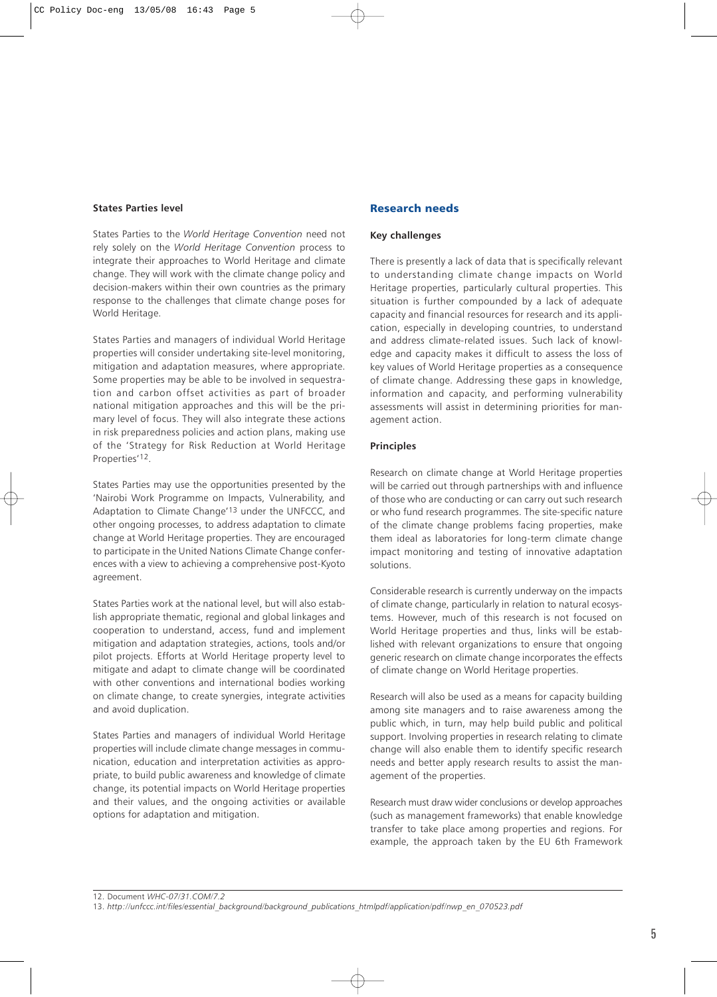# <span id="page-6-0"></span>**States Parties level**

States Parties to the *World Heritage Convention* need not rely solely on the *World Heritage Convention* process to integrate their approaches to World Heritage and climate change. They will work with the climate change policy and decision-makers within their own countries as the primary response to the challenges that climate change poses for World Heritage.

States Parties and managers of individual World Heritage properties will consider undertaking site-level monitoring, mitigation and adaptation measures, where appropriate. Some properties may be able to be involved in sequestration and carbon offset activities as part of broader national mitigation approaches and this will be the primary level of focus. They will also integrate these actions in risk preparedness policies and action plans, making use of the 'Strategy for Risk Reduction at World Heritage Properties'12.

States Parties may use the opportunities presented by the 'Nairobi Work Programme on Impacts, Vulnerability, and Adaptation to Climate Change'13 under the UNFCCC, and other ongoing processes, to address adaptation to climate change at World Heritage properties. They are encouraged to participate in the United Nations Climate Change conferences with a view to achieving a comprehensive post-Kyoto agreement.

States Parties work at the national level, but will also establish appropriate thematic, regional and global linkages and cooperation to understand, access, fund and implement mitigation and adaptation strategies, actions, tools and/or pilot projects. Efforts at World Heritage property level to mitigate and adapt to climate change will be coordinated with other conventions and international bodies working on climate change, to create synergies, integrate activities and avoid duplication.

States Parties and managers of individual World Heritage properties will include climate change messages in communication, education and interpretation activities as appropriate, to build public awareness and knowledge of climate change, its potential impacts on World Heritage properties and their values, and the ongoing activities or available options for adaptation and mitigation.

# Research needs

# **Key challenges**

There is presently a lack of data that is specifically relevant to understanding climate change impacts on World Heritage properties, particularly cultural properties. This situation is further compounded by a lack of adequate capacity and financial resources for research and its application, especially in developing countries, to understand and address climate-related issues. Such lack of knowledge and capacity makes it difficult to assess the loss of key values of World Heritage properties as a consequence of climate change. Addressing these gaps in knowledge, information and capacity, and performing vulnerability assessments will assist in determining priorities for management action.

# **Principles**

Research on climate change at World Heritage properties will be carried out through partnerships with and influence of those who are conducting or can carry out such research or who fund research programmes. The site-specific nature of the climate change problems facing properties, make them ideal as laboratories for long-term climate change impact monitoring and testing of innovative adaptation solutions.

Considerable research is currently underway on the impacts of climate change, particularly in relation to natural ecosystems. However, much of this research is not focused on World Heritage properties and thus, links will be established with relevant organizations to ensure that ongoing generic research on climate change incorporates the effects of climate change on World Heritage properties.

Research will also be used as a means for capacity building among site managers and to raise awareness among the public which, in turn, may help build public and political support. Involving properties in research relating to climate change will also enable them to identify specific research needs and better apply research results to assist the management of the properties.

Research must draw wider conclusions or develop approaches (such as management frameworks) that enable knowledge transfer to take place among properties and regions. For example, the approach taken by the EU 6th Framework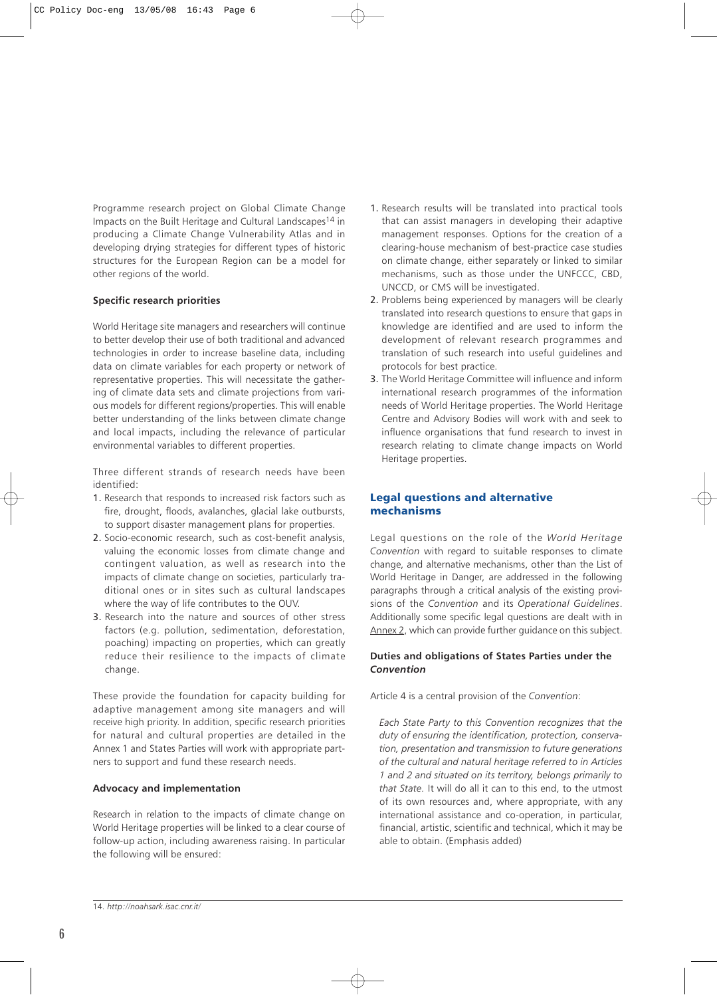<span id="page-7-0"></span>Programme research project on Global Climate Change Impacts on the Built Heritage and Cultural Landscapes14 in producing a Climate Change Vulnerability Atlas and in developing drying strategies for different types of historic structures for the European Region can be a model for other regions of the world.

# **Specific research priorities**

World Heritage site managers and researchers will continue to better develop their use of both traditional and advanced technologies in order to increase baseline data, including data on climate variables for each property or network of representative properties. This will necessitate the gathering of climate data sets and climate projections from various models for different regions/properties. This will enable better understanding of the links between climate change and local impacts, including the relevance of particular environmental variables to different properties.

Three different strands of research needs have been identified:

- 1. Research that responds to increased risk factors such as fire, drought, floods, avalanches, glacial lake outbursts, to support disaster management plans for properties.
- 2. Socio-economic research, such as cost-benefit analysis, valuing the economic losses from climate change and contingent valuation, as well as research into the impacts of climate change on societies, particularly traditional ones or in sites such as cultural landscapes where the way of life contributes to the OUV.
- 3. Research into the nature and sources of other stress factors (e.g. pollution, sedimentation, deforestation, poaching) impacting on properties, which can greatly reduce their resilience to the impacts of climate change.

These provide the foundation for capacity building for adaptive management among site managers and will receive high priority. In addition, specific research priorities for natural and cultural properties are detailed in the Annex 1 and States Parties will work with appropriate partners to support and fund these research needs.

#### **Advocacy and implementation**

Research in relation to the impacts of climate change on World Heritage properties will be linked to a clear course of follow-up action, including awareness raising. In particular the following will be ensured:

- 1. Research results will be translated into practical tools that can assist managers in developing their adaptive management responses. Options for the creation of a clearing-house mechanism of best-practice case studies on climate change, either separately or linked to similar mechanisms, such as those under the UNFCCC, CBD, UNCCD, or CMS will be investigated.
- 2. Problems being experienced by managers will be clearly translated into research questions to ensure that gaps in knowledge are identified and are used to inform the development of relevant research programmes and translation of such research into useful guidelines and protocols for best practice.
- 3. The World Heritage Committee will influence and inform international research programmes of the information needs of World Heritage properties. The World Heritage Centre and Advisory Bodies will work with and seek to influence organisations that fund research to invest in research relating to climate change impacts on World Heritage properties.

# Legal questions and alternative mechanisms

Legal questions on the role of the *World Heritage Convention* with regard to suitable responses to climate change, and alternative mechanisms, other than the List of World Heritage in Danger, are addressed in the following paragraphs through a critical analysis of the existing provisions of the *Convention* and its *Operational Guidelines*. Additionally some specific legal questions are dealt with in Annex 2, which can provide further guidance on this subject.

# **Duties and obligations of States Parties under the** *Convention*

Article 4 is a central provision of the *Convention*:

*Each State Party to this Convention recognizes that the duty of ensuring the identification, protection, conservation, presentation and transmission to future generations of the cultural and natural heritage referred to in Articles 1 and 2 and situated on its territory, belongs primarily to that State.* It will do all it can to this end, to the utmost of its own resources and, where appropriate, with any international assistance and co-operation, in particular, financial, artistic, scientific and technical, which it may be able to obtain. (Emphasis added)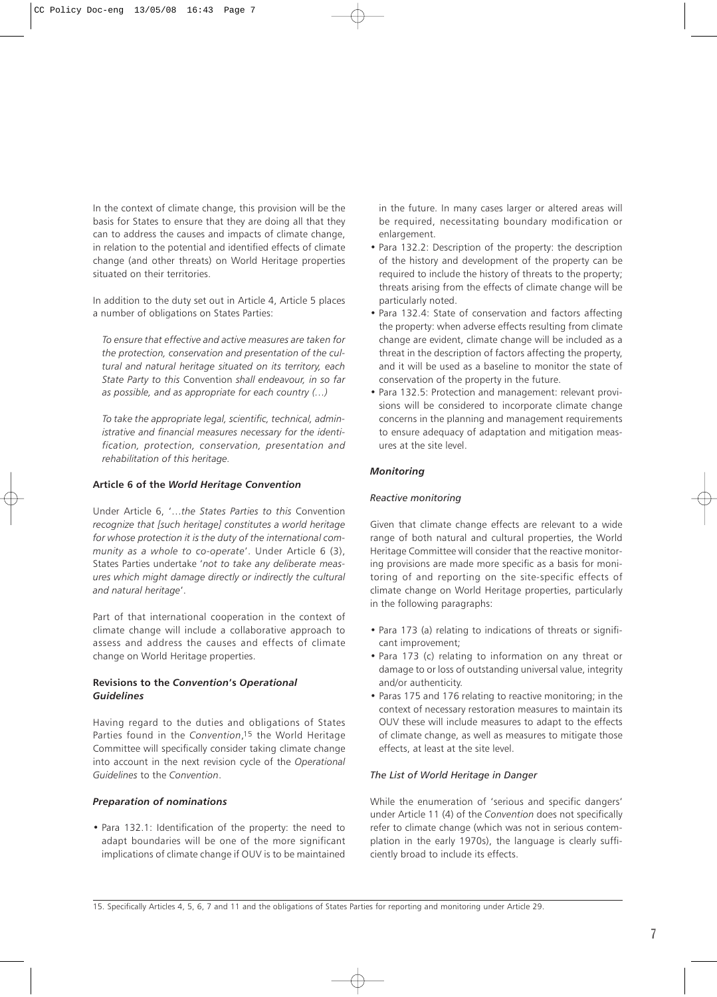In the context of climate change, this provision will be the basis for States to ensure that they are doing all that they can to address the causes and impacts of climate change, in relation to the potential and identified effects of climate change (and other threats) on World Heritage properties situated on their territories.

In addition to the duty set out in Article 4, Article 5 places a number of obligations on States Parties:

*To ensure that effective and active measures are taken for the protection, conservation and presentation of the cultural and natural heritage situated on its territory, each State Party to this* Convention *shall endeavour, in so far as possible, and as appropriate for each country (…)*

*To take the appropriate legal, scientific, technical, administrative and financial measures necessary for the identification, protection, conservation, presentation and rehabilitation of this heritage.*

# **Article 6 of the** *World Heritage Convention*

Under Article 6, '…*the States Parties to this* Convention *recognize that [such heritage] constitutes a world heritage for whose protection it is the duty of the international community as a whole to co-operate*'. Under Article 6 (3), States Parties undertake '*not to take any deliberate measures which might damage directly or indirectly the cultural and natural heritage*'.

Part of that international cooperation in the context of climate change will include a collaborative approach to assess and address the causes and effects of climate change on World Heritage properties.

# **Revisions to the** *Convention***'s** *Operational Guidelines*

Having regard to the duties and obligations of States Parties found in the *Convention*, 15 the World Heritage Committee will specifically consider taking climate change into account in the next revision cycle of the *Operational Guidelines* to the *Convention*.

# *Preparation of nominations*

• Para 132.1: Identification of the property: the need to adapt boundaries will be one of the more significant implications of climate change if OUV is to be maintained

in the future. In many cases larger or altered areas will be required, necessitating boundary modification or enlargement.

- Para 132.2: Description of the property: the description of the history and development of the property can be required to include the history of threats to the property; threats arising from the effects of climate change will be particularly noted.
- Para 132.4: State of conservation and factors affecting the property: when adverse effects resulting from climate change are evident, climate change will be included as a threat in the description of factors affecting the property, and it will be used as a baseline to monitor the state of conservation of the property in the future.
- Para 132.5: Protection and management: relevant provisions will be considered to incorporate climate change concerns in the planning and management requirements to ensure adequacy of adaptation and mitigation measures at the site level.

#### *Monitoring*

# *Reactive monitoring*

Given that climate change effects are relevant to a wide range of both natural and cultural properties, the World Heritage Committee will consider that the reactive monitoring provisions are made more specific as a basis for monitoring of and reporting on the site-specific effects of climate change on World Heritage properties, particularly in the following paragraphs:

- Para 173 (a) relating to indications of threats or significant improvement;
- Para 173 (c) relating to information on any threat or damage to or loss of outstanding universal value, integrity and/or authenticity.
- Paras 175 and 176 relating to reactive monitoring; in the context of necessary restoration measures to maintain its OUV these will include measures to adapt to the effects of climate change, as well as measures to mitigate those effects, at least at the site level.

# *The List of World Heritage in Danger*

While the enumeration of 'serious and specific dangers' under Article 11 (4) of the *Convention* does not specifically refer to climate change (which was not in serious contemplation in the early 1970s), the language is clearly sufficiently broad to include its effects.

15. Specifically Articles 4, 5, 6, 7 and 11 and the obligations of States Parties for reporting and monitoring under Article 29.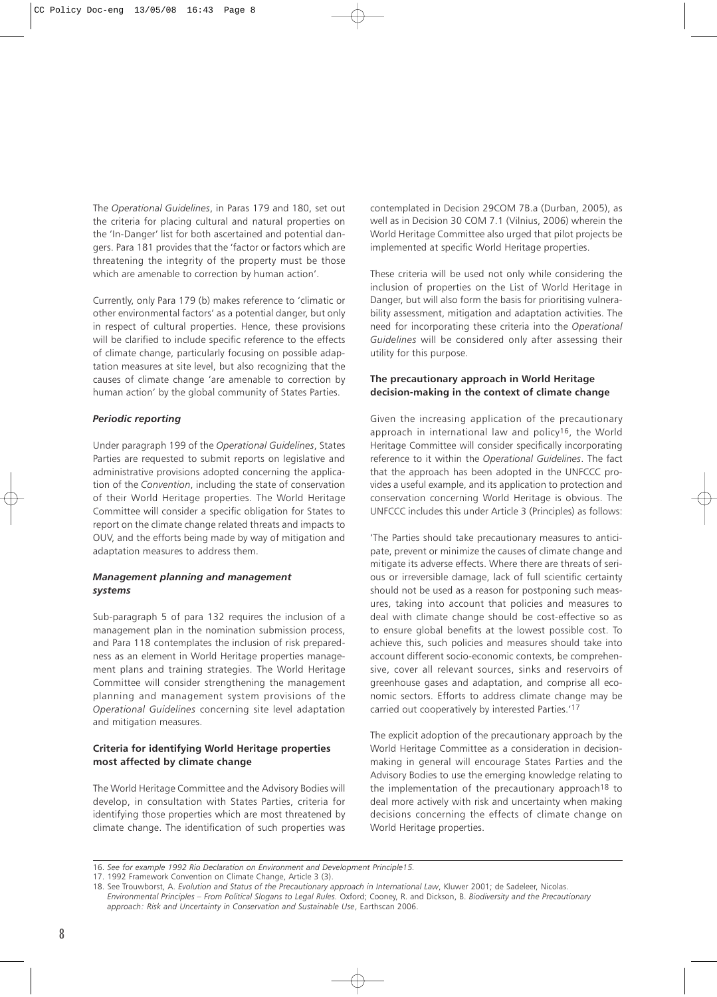The *Operational Guidelines*, in Paras 179 and 180, set out the criteria for placing cultural and natural properties on the 'In-Danger' list for both ascertained and potential dangers. Para 181 provides that the 'factor or factors which are threatening the integrity of the property must be those which are amenable to correction by human action'.

Currently, only Para 179 (b) makes reference to 'climatic or other environmental factors' as a potential danger, but only in respect of cultural properties. Hence, these provisions will be clarified to include specific reference to the effects of climate change, particularly focusing on possible adaptation measures at site level, but also recognizing that the causes of climate change 'are amenable to correction by human action' by the global community of States Parties.

# *Periodic reporting*

Under paragraph 199 of the *Operational Guidelines*, States Parties are requested to submit reports on legislative and administrative provisions adopted concerning the application of the *Convention*, including the state of conservation of their World Heritage properties. The World Heritage Committee will consider a specific obligation for States to report on the climate change related threats and impacts to OUV, and the efforts being made by way of mitigation and adaptation measures to address them.

## *Management planning and management systems*

Sub-paragraph 5 of para 132 requires the inclusion of a management plan in the nomination submission process, and Para 118 contemplates the inclusion of risk preparedness as an element in World Heritage properties management plans and training strategies. The World Heritage Committee will consider strengthening the management planning and management system provisions of the *Operational Guidelines* concerning site level adaptation and mitigation measures.

# **Criteria for identifying World Heritage properties most affected by climate change**

The World Heritage Committee and the Advisory Bodies will develop, in consultation with States Parties, criteria for identifying those properties which are most threatened by climate change. The identification of such properties was

contemplated in Decision 29COM 7B.a (Durban, 2005), as well as in Decision 30 COM 7.1 (Vilnius, 2006) wherein the World Heritage Committee also urged that pilot projects be implemented at specific World Heritage properties.

These criteria will be used not only while considering the inclusion of properties on the List of World Heritage in Danger, but will also form the basis for prioritising vulnerability assessment, mitigation and adaptation activities. The need for incorporating these criteria into the *Operational Guidelines* will be considered only after assessing their utility for this purpose.

# **The precautionary approach in World Heritage decision-making in the context of climate change**

Given the increasing application of the precautionary approach in international law and policy16, the World Heritage Committee will consider specifically incorporating reference to it within the *Operational Guidelines*. The fact that the approach has been adopted in the UNFCCC provides a useful example, and its application to protection and conservation concerning World Heritage is obvious. The UNFCCC includes this under Article 3 (Principles) as follows:

'The Parties should take precautionary measures to anticipate, prevent or minimize the causes of climate change and mitigate its adverse effects. Where there are threats of serious or irreversible damage, lack of full scientific certainty should not be used as a reason for postponing such measures, taking into account that policies and measures to deal with climate change should be cost-effective so as to ensure global benefits at the lowest possible cost. To achieve this, such policies and measures should take into account different socio-economic contexts, be comprehensive, cover all relevant sources, sinks and reservoirs of greenhouse gases and adaptation, and comprise all economic sectors. Efforts to address climate change may be carried out cooperatively by interested Parties.'17

The explicit adoption of the precautionary approach by the World Heritage Committee as a consideration in decisionmaking in general will encourage States Parties and the Advisory Bodies to use the emerging knowledge relating to the implementation of the precautionary approach18 to deal more actively with risk and uncertainty when making decisions concerning the effects of climate change on World Heritage properties.

<sup>16.</sup> *See for example 1992 Rio Declaration on Environment and Development Principle15.*

<sup>17. 1992</sup> Framework Convention on Climate Change, Article 3 (3).

<sup>18.</sup> See Trouwborst, A. *Evolution and Status of the Precautionary approach in International Law*, Kluwer 2001; de Sadeleer, Nicolas. *Environmental Principles – From Political Slogans to Legal Rules.* Oxford; Cooney, R. and Dickson, B. *Biodiversity and the Precautionary approach: Risk and Uncertainty in Conservation and Sustainable Use*, Earthscan 2006.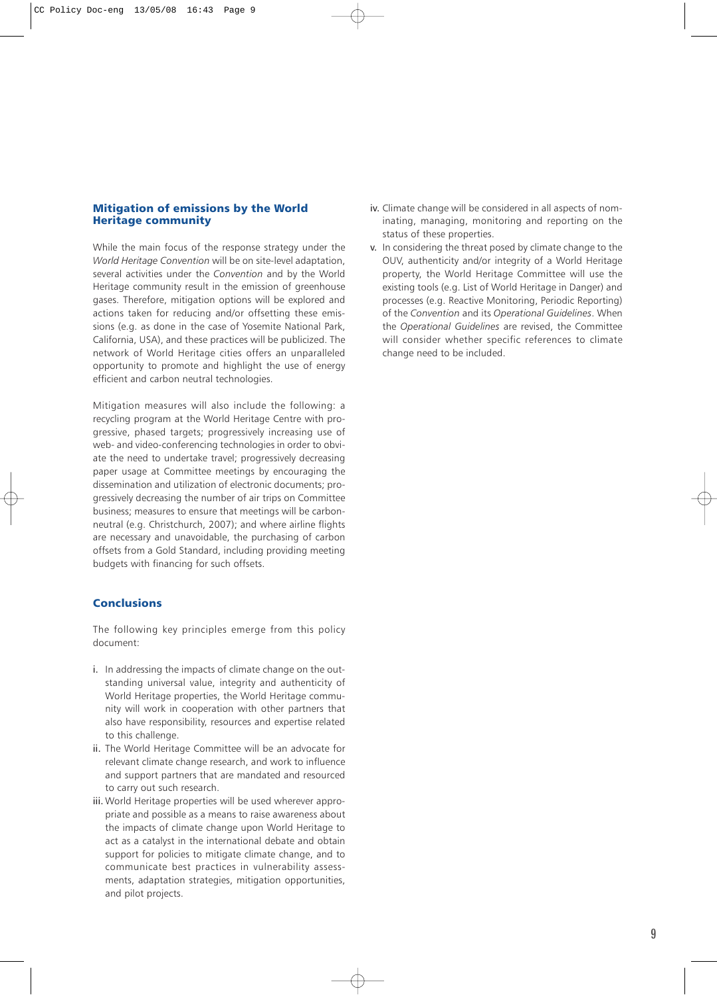# <span id="page-10-0"></span>Mitigation of emissions by the World Heritage community

While the main focus of the response strategy under the *World Heritage Convention* will be on site-level adaptation, several activities under the *Convention* and by the World Heritage community result in the emission of greenhouse gases. Therefore, mitigation options will be explored and actions taken for reducing and/or offsetting these emissions (e.g. as done in the case of Yosemite National Park, California, USA), and these practices will be publicized. The network of World Heritage cities offers an unparalleled opportunity to promote and highlight the use of energy efficient and carbon neutral technologies.

Mitigation measures will also include the following: a recycling program at the World Heritage Centre with progressive, phased targets; progressively increasing use of web- and video-conferencing technologies in order to obviate the need to undertake travel; progressively decreasing paper usage at Committee meetings by encouraging the dissemination and utilization of electronic documents; progressively decreasing the number of air trips on Committee business; measures to ensure that meetings will be carbonneutral (e.g. Christchurch, 2007); and where airline flights are necessary and unavoidable, the purchasing of carbon offsets from a Gold Standard, including providing meeting budgets with financing for such offsets.

# **Conclusions**

The following key principles emerge from this policy document:

- i. In addressing the impacts of climate change on the outstanding universal value, integrity and authenticity of World Heritage properties, the World Heritage community will work in cooperation with other partners that also have responsibility, resources and expertise related to this challenge.
- ii. The World Heritage Committee will be an advocate for relevant climate change research, and work to influence and support partners that are mandated and resourced to carry out such research.
- iii. World Heritage properties will be used wherever appropriate and possible as a means to raise awareness about the impacts of climate change upon World Heritage to act as a catalyst in the international debate and obtain support for policies to mitigate climate change, and to communicate best practices in vulnerability assessments, adaptation strategies, mitigation opportunities, and pilot projects.
- iv. Climate change will be considered in all aspects of nominating, managing, monitoring and reporting on the status of these properties.
- v. In considering the threat posed by climate change to the OUV, authenticity and/or integrity of a World Heritage property, the World Heritage Committee will use the existing tools (e.g. List of World Heritage in Danger) and processes (e.g. Reactive Monitoring, Periodic Reporting) of the *Convention* and its *Operational Guidelines*. When the *Operational Guidelines* are revised, the Committee will consider whether specific references to climate change need to be included.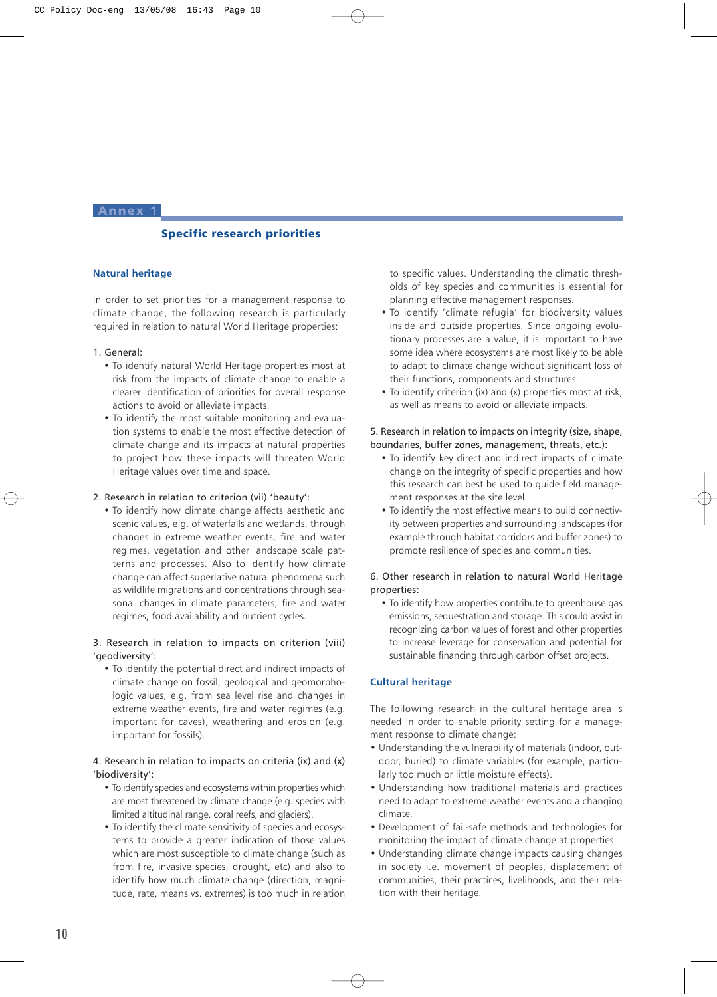#### <span id="page-11-0"></span>Annex 1

# Specific research priorities

# **Natural heritage**

In order to set priorities for a management response to climate change, the following research is particularly required in relation to natural World Heritage properties:

#### 1. General:

- To identify natural World Heritage properties most at risk from the impacts of climate change to enable a clearer identification of priorities for overall response actions to avoid or alleviate impacts.
- To identify the most suitable monitoring and evaluation systems to enable the most effective detection of climate change and its impacts at natural properties to project how these impacts will threaten World Heritage values over time and space.

#### 2. Research in relation to criterion (vii) 'beauty':

• To identify how climate change affects aesthetic and scenic values, e.g. of waterfalls and wetlands, through changes in extreme weather events, fire and water regimes, vegetation and other landscape scale patterns and processes. Also to identify how climate change can affect superlative natural phenomena such as wildlife migrations and concentrations through seasonal changes in climate parameters, fire and water regimes, food availability and nutrient cycles.

# 3. Research in relation to impacts on criterion (viii) 'geodiversity':

• To identify the potential direct and indirect impacts of climate change on fossil, geological and geomorphologic values, e.g. from sea level rise and changes in extreme weather events, fire and water regimes (e.g. important for caves), weathering and erosion (e.g. important for fossils).

# 4. Research in relation to impacts on criteria (ix) and (x) 'biodiversity':

- To identify species and ecosystems within properties which are most threatened by climate change (e.g. species with limited altitudinal range, coral reefs, and glaciers).
- To identify the climate sensitivity of species and ecosystems to provide a greater indication of those values which are most susceptible to climate change (such as from fire, invasive species, drought, etc) and also to identify how much climate change (direction, magnitude, rate, means vs. extremes) is too much in relation

to specific values. Understanding the climatic thresholds of key species and communities is essential for planning effective management responses.

- To identify 'climate refugia' for biodiversity values inside and outside properties. Since ongoing evolutionary processes are a value, it is important to have some idea where ecosystems are most likely to be able to adapt to climate change without significant loss of their functions, components and structures.
- To identify criterion (ix) and (x) properties most at risk, as well as means to avoid or alleviate impacts.

# 5. Research in relation to impacts on integrity (size, shape, boundaries, buffer zones, management, threats, etc.):

- To identify key direct and indirect impacts of climate change on the integrity of specific properties and how this research can best be used to guide field management responses at the site level.
- To identify the most effective means to build connectivity between properties and surrounding landscapes (for example through habitat corridors and buffer zones) to promote resilience of species and communities.

# 6. Other research in relation to natural World Heritage properties:

• To identify how properties contribute to greenhouse gas emissions, sequestration and storage. This could assist in recognizing carbon values of forest and other properties to increase leverage for conservation and potential for sustainable financing through carbon offset projects.

# **Cultural heritage**

The following research in the cultural heritage area is needed in order to enable priority setting for a management response to climate change:

- Understanding the vulnerability of materials (indoor, outdoor, buried) to climate variables (for example, particularly too much or little moisture effects).
- Understanding how traditional materials and practices need to adapt to extreme weather events and a changing climate.
- Development of fail-safe methods and technologies for monitoring the impact of climate change at properties.
- Understanding climate change impacts causing changes in society i.e. movement of peoples, displacement of communities, their practices, livelihoods, and their relation with their heritage.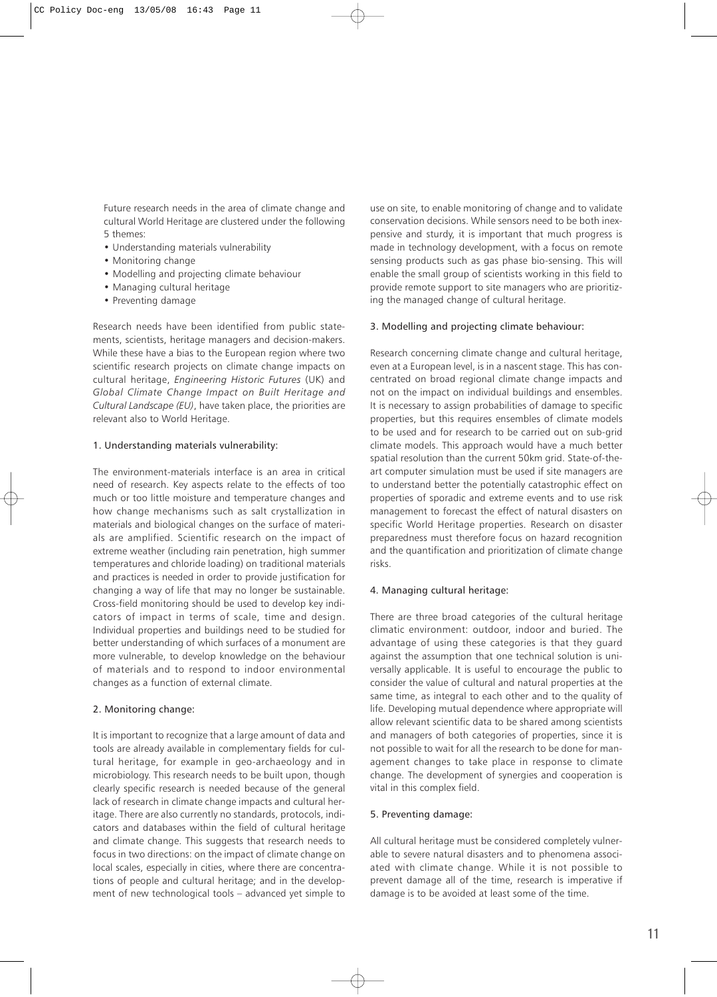Future research needs in the area of climate change and cultural World Heritage are clustered under the following 5 themes:

- Understanding materials vulnerability
- Monitoring change
- Modelling and projecting climate behaviour
- Managing cultural heritage
- Preventing damage

Research needs have been identified from public statements, scientists, heritage managers and decision-makers. While these have a bias to the European region where two scientific research projects on climate change impacts on cultural heritage, *Engineering Historic Futures* (UK) and *Global Climate Change Impact on Built Heritage and Cultural Landscape (EU)*, have taken place, the priorities are relevant also to World Heritage.

# 1. Understanding materials vulnerability:

The environment-materials interface is an area in critical need of research. Key aspects relate to the effects of too much or too little moisture and temperature changes and how change mechanisms such as salt crystallization in materials and biological changes on the surface of materials are amplified. Scientific research on the impact of extreme weather (including rain penetration, high summer temperatures and chloride loading) on traditional materials and practices is needed in order to provide justification for changing a way of life that may no longer be sustainable. Cross-field monitoring should be used to develop key indicators of impact in terms of scale, time and design. Individual properties and buildings need to be studied for better understanding of which surfaces of a monument are more vulnerable, to develop knowledge on the behaviour of materials and to respond to indoor environmental changes as a function of external climate.

#### 2. Monitoring change:

It is important to recognize that a large amount of data and tools are already available in complementary fields for cultural heritage, for example in geo-archaeology and in microbiology. This research needs to be built upon, though clearly specific research is needed because of the general lack of research in climate change impacts and cultural heritage. There are also currently no standards, protocols, indicators and databases within the field of cultural heritage and climate change. This suggests that research needs to focus in two directions: on the impact of climate change on local scales, especially in cities, where there are concentrations of people and cultural heritage; and in the development of new technological tools – advanced yet simple to

use on site, to enable monitoring of change and to validate conservation decisions. While sensors need to be both inexpensive and sturdy, it is important that much progress is made in technology development, with a focus on remote sensing products such as gas phase bio-sensing. This will enable the small group of scientists working in this field to provide remote support to site managers who are prioritizing the managed change of cultural heritage.

# 3. Modelling and projecting climate behaviour:

Research concerning climate change and cultural heritage, even at a European level, is in a nascent stage. This has concentrated on broad regional climate change impacts and not on the impact on individual buildings and ensembles. It is necessary to assign probabilities of damage to specific properties, but this requires ensembles of climate models to be used and for research to be carried out on sub-grid climate models. This approach would have a much better spatial resolution than the current 50km grid. State-of-theart computer simulation must be used if site managers are to understand better the potentially catastrophic effect on properties of sporadic and extreme events and to use risk management to forecast the effect of natural disasters on specific World Heritage properties. Research on disaster preparedness must therefore focus on hazard recognition and the quantification and prioritization of climate change risks.

#### 4. Managing cultural heritage:

There are three broad categories of the cultural heritage climatic environment: outdoor, indoor and buried. The advantage of using these categories is that they guard against the assumption that one technical solution is universally applicable. It is useful to encourage the public to consider the value of cultural and natural properties at the same time, as integral to each other and to the quality of life. Developing mutual dependence where appropriate will allow relevant scientific data to be shared among scientists and managers of both categories of properties, since it is not possible to wait for all the research to be done for management changes to take place in response to climate change. The development of synergies and cooperation is vital in this complex field.

# 5. Preventing damage:

All cultural heritage must be considered completely vulnerable to severe natural disasters and to phenomena associated with climate change. While it is not possible to prevent damage all of the time, research is imperative if damage is to be avoided at least some of the time.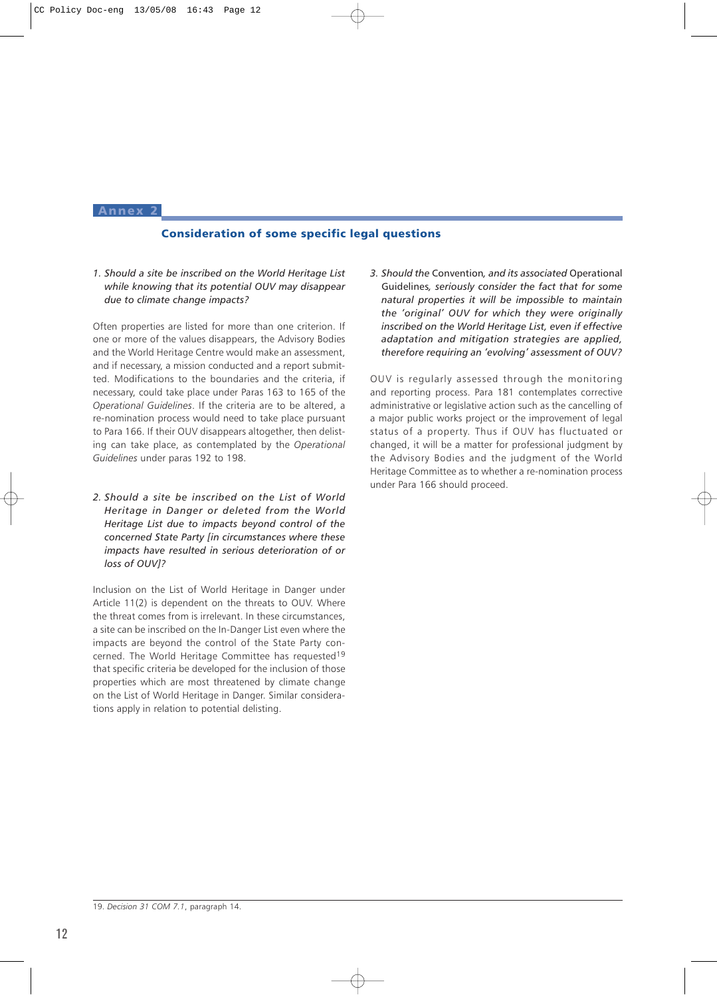#### <span id="page-13-0"></span>Annex 2

# Consideration of some specific legal questions

*1. Should a site be inscribed on the World Heritage List while knowing that its potential OUV may disappear due to climate change impacts?* 

Often properties are listed for more than one criterion. If one or more of the values disappears, the Advisory Bodies and the World Heritage Centre would make an assessment, and if necessary, a mission conducted and a report submitted. Modifications to the boundaries and the criteria, if necessary, could take place under Paras 163 to 165 of the *Operational Guidelines*. If the criteria are to be altered, a re-nomination process would need to take place pursuant to Para 166. If their OUV disappears altogether, then delisting can take place, as contemplated by the *Operational Guidelines* under paras 192 to 198.

*2. Should a site be inscribed on the List of World Heritage in Danger or deleted from the World Heritage List due to impacts beyond control of the concerned State Party [in circumstances where these impacts have resulted in serious deterioration of or loss of OUV]?*

Inclusion on the List of World Heritage in Danger under Article 11(2) is dependent on the threats to OUV. Where the threat comes from is irrelevant. In these circumstances, a site can be inscribed on the In-Danger List even where the impacts are beyond the control of the State Party concerned. The World Heritage Committee has requested19 that specific criteria be developed for the inclusion of those properties which are most threatened by climate change on the List of World Heritage in Danger. Similar considerations apply in relation to potential delisting.

*3. Should the* Convention*, and its associated* Operational Guidelines*, seriously consider the fact that for some natural properties it will be impossible to maintain the 'original' OUV for which they were originally inscribed on the World Heritage List, even if effective adaptation and mitigation strategies are applied, therefore requiring an 'evolving' assessment of OUV?*

OUV is regularly assessed through the monitoring and reporting process. Para 181 contemplates corrective administrative or legislative action such as the cancelling of a major public works project or the improvement of legal status of a property. Thus if OUV has fluctuated or changed, it will be a matter for professional judgment by the Advisory Bodies and the judgment of the World Heritage Committee as to whether a re-nomination process under Para 166 should proceed.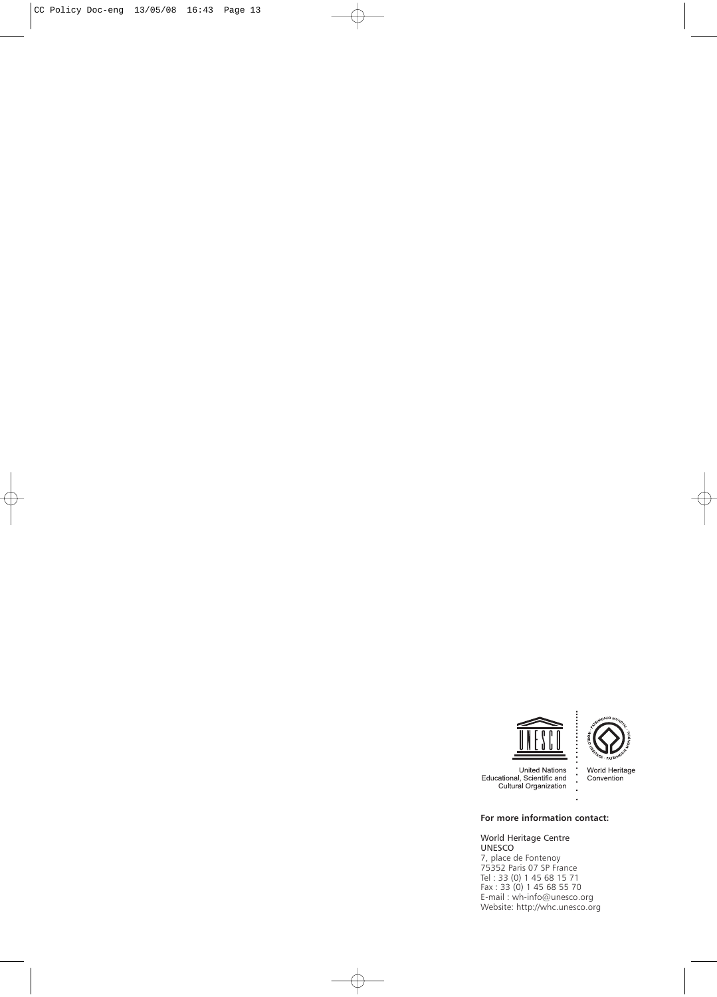



United Nations<br>Educational, Scientific and<br>Cultural Organization

World Heritage<br>Convention

# **For more information contact:**

World Heritage Centre UNESCO 7, place de Fontenoy 75352 Paris 07 SP France Tel : 33 (0) 1 45 68 15 71 Fax : 33 (0) 1 45 68 55 70 E-mail : wh-info@unesco.org Website: http://whc.unesco.org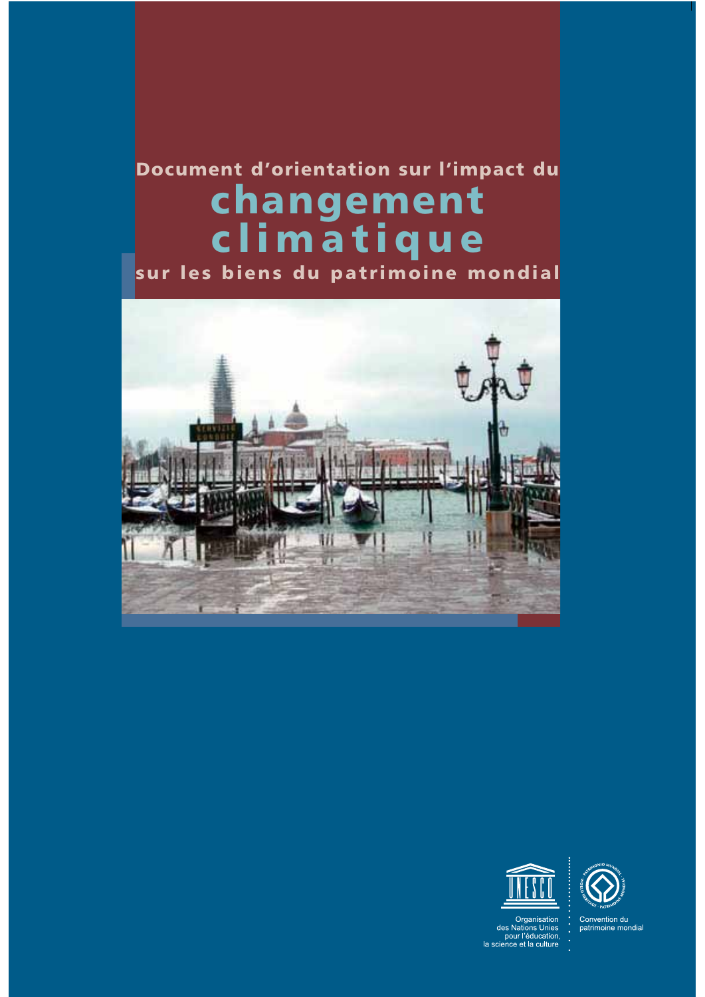# Document d'orientation sur l'impact du changement climatique

sur les biens du patrimoine mondial







Organisation<br>des Nations Unies<br>pour l'éducation,<br>la science et la culture

Convention du<br>patrimoine mondial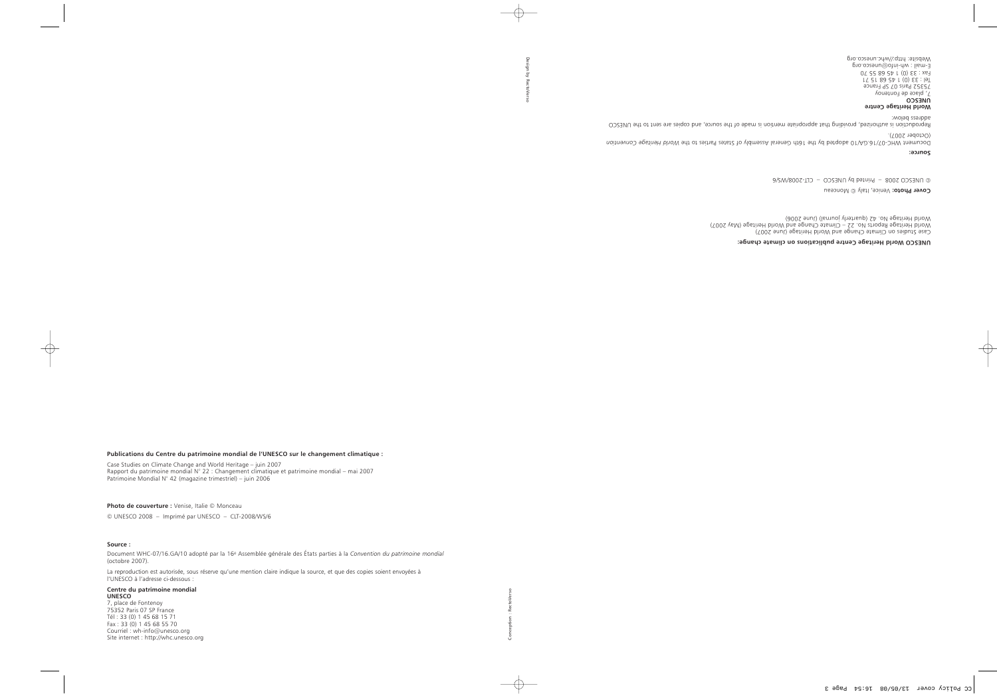#### **Publications du Centre du patrimoine mondial de l'UNESCO sur le changement climatique :**

Case Studies on Climate Change and World Heritage – juin 2007 Rapport du patrimoine mondial N° 22 : Changement climatique et patrimoine mondial – mai 2007 Patrimoine Mondial N° 42 (magazine trimestriel) – juin 2006

**Photo de couverture :** Venise, Italie © Monceau

© UNESCO 2008 – Imprimé par UNESCO – CLT-2008/WS/6

#### **Source :**

 $\overline{\phantom{a}}$ 

Document WHC-07/16.GA/10 adopté par la 16e Assemblée générale des États parties à la *Convention du patrimoine mondial* (octobre 2007).

La reproduction est autorisée, sous réserve qu'une mention claire indique la source, et que des copies soient envoyées à l'UNESCO à l'adresse ci-dessous :

#### **Centre du patrimoine mondial UNESCO**

7, place de Fontenoy 75352 Paris 07 SP France Tél : 33 (0) 1 45 68 15 71 Fax : 33 (0) 1 45 68 55 70 Courriel : wh-info@unesco.org Site internet : http://whc.unesco.org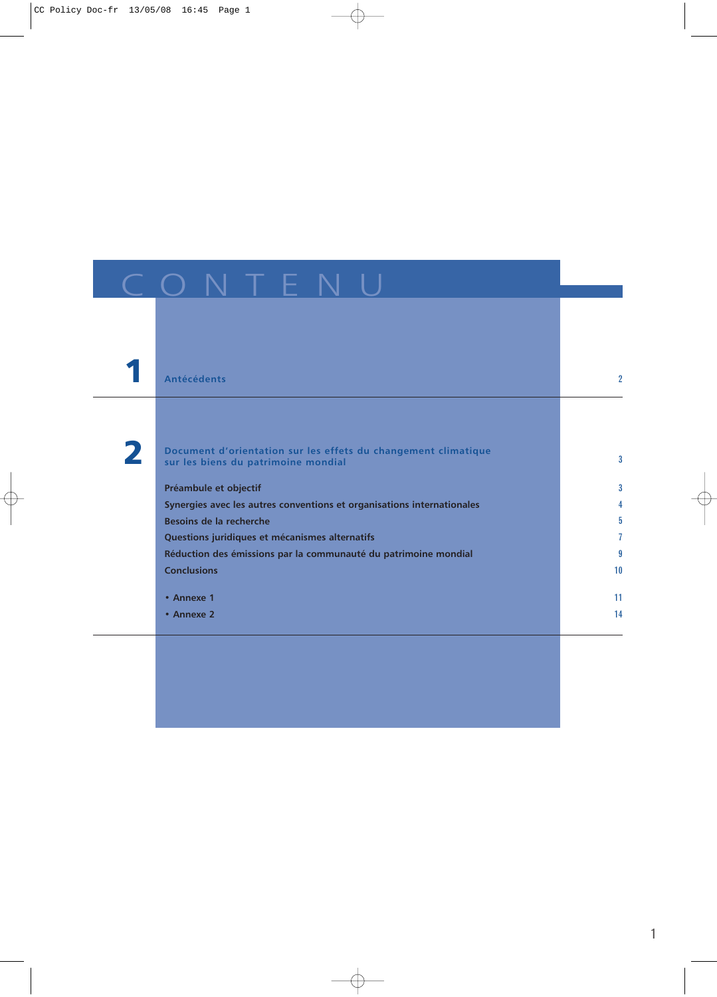|   | <b>Antécédents</b>                                                                                    | $\overline{2}$ |
|---|-------------------------------------------------------------------------------------------------------|----------------|
|   |                                                                                                       |                |
|   |                                                                                                       |                |
| 2 | Document d'orientation sur les effets du changement climatique<br>sur les biens du patrimoine mondial | $\overline{3}$ |
|   | Préambule et objectif                                                                                 | 3              |
|   | Synergies avec les autres conventions et organisations internationales                                | 4              |
|   | Besoins de la recherche                                                                               | 5              |
|   | Questions juridiques et mécanismes alternatifs                                                        | 7              |
|   | Réduction des émissions par la communauté du patrimoine mondial                                       | 9              |
|   | <b>Conclusions</b>                                                                                    | 10             |
|   | • Annexe 1                                                                                            | 11             |
|   | • Annexe 2                                                                                            | 14             |
|   |                                                                                                       |                |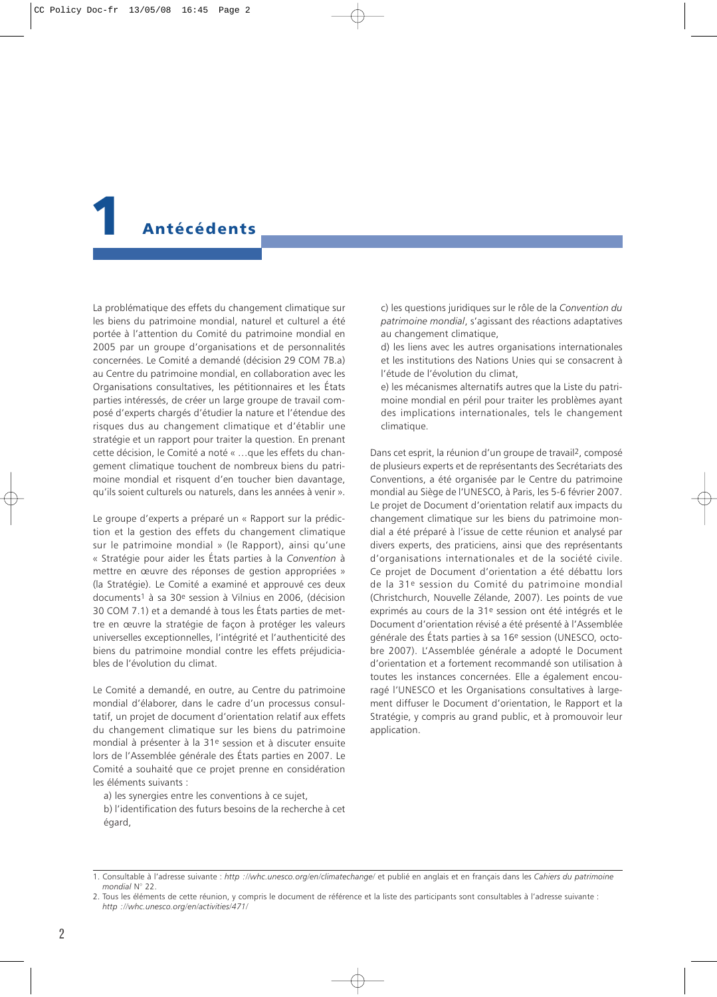# <span id="page-18-0"></span>**Antécédents**

La problématique des effets du changement climatique sur les biens du patrimoine mondial, naturel et culturel a été portée à l'attention du Comité du patrimoine mondial en 2005 par un groupe d'organisations et de personnalités concernées. Le Comité a demandé (décision 29 COM 7B.a) au Centre du patrimoine mondial, en collaboration avec les Organisations consultatives, les pétitionnaires et les États parties intéressés, de créer un large groupe de travail composé d'experts chargés d'étudier la nature et l'étendue des risques dus au changement climatique et d'établir une stratégie et un rapport pour traiter la question. En prenant cette décision, le Comité a noté « …que les effets du changement climatique touchent de nombreux biens du patrimoine mondial et risquent d'en toucher bien davantage, qu'ils soient culturels ou naturels, dans les années à venir ».

Le groupe d'experts a préparé un « Rapport sur la prédiction et la gestion des effets du changement climatique sur le patrimoine mondial » (le Rapport), ainsi qu'une « Stratégie pour aider les États parties à la *Convention* à mettre en œuvre des réponses de gestion appropriées » (la Stratégie). Le Comité a examiné et approuvé ces deux documents1 à sa 30e session à Vilnius en 2006, (décision 30 COM 7.1) et a demandé à tous les États parties de mettre en œuvre la stratégie de façon à protéger les valeurs universelles exceptionnelles, l'intégrité et l'authenticité des biens du patrimoine mondial contre les effets préjudiciables de l'évolution du climat.

Le Comité a demandé, en outre, au Centre du patrimoine mondial d'élaborer, dans le cadre d'un processus consultatif, un projet de document d'orientation relatif aux effets du changement climatique sur les biens du patrimoine mondial à présenter à la 31e session et à discuter ensuite lors de l'Assemblée générale des États parties en 2007. Le Comité a souhaité que ce projet prenne en considération les éléments suivants :

a) les synergies entre les conventions à ce sujet,

b) l'identification des futurs besoins de la recherche à cet égard,

c) les questions juridiques sur le rôle de la *Convention du patrimoine mondial*, s'agissant des réactions adaptatives au changement climatique,

d) les liens avec les autres organisations internationales et les institutions des Nations Unies qui se consacrent à l'étude de l'évolution du climat,

e) les mécanismes alternatifs autres que la Liste du patrimoine mondial en péril pour traiter les problèmes ayant des implications internationales, tels le changement climatique.

Dans cet esprit, la réunion d'un groupe de travail2, composé de plusieurs experts et de représentants des Secrétariats des Conventions, a été organisée par le Centre du patrimoine mondial au Siège de l'UNESCO, à Paris, les 5-6 février 2007. Le projet de Document d'orientation relatif aux impacts du changement climatique sur les biens du patrimoine mondial a été préparé à l'issue de cette réunion et analysé par divers experts, des praticiens, ainsi que des représentants d'organisations internationales et de la société civile. Ce projet de Document d'orientation a été débattu lors de la 31e session du Comité du patrimoine mondial (Christchurch, Nouvelle Zélande, 2007). Les points de vue exprimés au cours de la 31e session ont été intégrés et le Document d'orientation révisé a été présenté à l'Assemblée générale des États parties à sa 16e session (UNESCO, octobre 2007). L'Assemblée générale a adopté le Document d'orientation et a fortement recommandé son utilisation à toutes les instances concernées. Elle a également encouragé l'UNESCO et les Organisations consultatives à largement diffuser le Document d'orientation, le Rapport et la Stratégie, y compris au grand public, et à promouvoir leur application.

<sup>1.</sup> Consultable à l'adresse suivante : *http ://whc.unesco.org/en/climatechange/* et publié en anglais et en français dans les *Cahiers du patrimoine mondial* N° 22.

<sup>2.</sup> Tous les éléments de cette réunion, y compris le document de référence et la liste des participants sont consultables à l'adresse suivante : *http ://whc.unesco.org/en/activities/471/*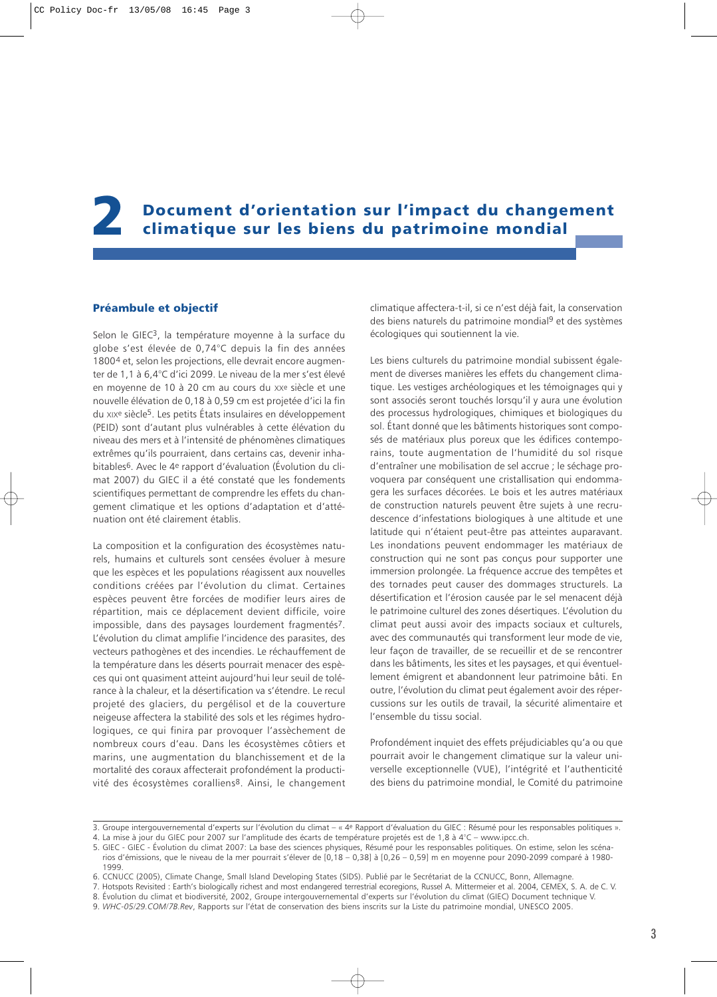<span id="page-19-0"></span>2 Document d'orientation sur l'impact du changement climatique sur les biens du patrimoine mondial

# Préambule et objectif

Selon le GIEC3, la température moyenne à la surface du globe s'est élevée de 0,74°C depuis la fin des années 18004 et, selon les projections, elle devrait encore augmenter de 1,1 à 6,4°C d'ici 2099. Le niveau de la mer s'est élevé en moyenne de 10 à 20 cm au cours du XXe siècle et une nouvelle élévation de 0,18 à 0,59 cm est projetée d'ici la fin du XIXe siècle5. Les petits États insulaires en développement (PEID) sont d'autant plus vulnérables à cette élévation du niveau des mers et à l'intensité de phénomènes climatiques extrêmes qu'ils pourraient, dans certains cas, devenir inhabitables6. Avec le 4e rapport d'évaluation (Évolution du climat 2007) du GIEC il a été constaté que les fondements scientifiques permettant de comprendre les effets du changement climatique et les options d'adaptation et d'atténuation ont été clairement établis.

La composition et la configuration des écosystèmes naturels, humains et culturels sont censées évoluer à mesure que les espèces et les populations réagissent aux nouvelles conditions créées par l'évolution du climat. Certaines espèces peuvent être forcées de modifier leurs aires de répartition, mais ce déplacement devient difficile, voire impossible, dans des paysages lourdement fragmentés<sup>7</sup>. L'évolution du climat amplifie l'incidence des parasites, des vecteurs pathogènes et des incendies. Le réchauffement de la température dans les déserts pourrait menacer des espèces qui ont quasiment atteint aujourd'hui leur seuil de tolérance à la chaleur, et la désertification va s'étendre. Le recul projeté des glaciers, du pergélisol et de la couverture neigeuse affectera la stabilité des sols et les régimes hydrologiques, ce qui finira par provoquer l'assèchement de nombreux cours d'eau. Dans les écosystèmes côtiers et marins, une augmentation du blanchissement et de la mortalité des coraux affecterait profondément la productivité des écosystèmes coralliens8. Ainsi, le changement climatique affectera-t-il, si ce n'est déjà fait, la conservation des biens naturels du patrimoine mondial9 et des systèmes écologiques qui soutiennent la vie.

Les biens culturels du patrimoine mondial subissent également de diverses manières les effets du changement climatique. Les vestiges archéologiques et les témoignages qui y sont associés seront touchés lorsqu'il y aura une évolution des processus hydrologiques, chimiques et biologiques du sol. Étant donné que les bâtiments historiques sont composés de matériaux plus poreux que les édifices contemporains, toute augmentation de l'humidité du sol risque d'entraîner une mobilisation de sel accrue ; le séchage provoquera par conséquent une cristallisation qui endommagera les surfaces décorées. Le bois et les autres matériaux de construction naturels peuvent être sujets à une recrudescence d'infestations biologiques à une altitude et une latitude qui n'étaient peut-être pas atteintes auparavant. Les inondations peuvent endommager les matériaux de construction qui ne sont pas conçus pour supporter une immersion prolongée. La fréquence accrue des tempêtes et des tornades peut causer des dommages structurels. La désertification et l'érosion causée par le sel menacent déjà le patrimoine culturel des zones désertiques. L'évolution du climat peut aussi avoir des impacts sociaux et culturels, avec des communautés qui transforment leur mode de vie, leur façon de travailler, de se recueillir et de se rencontrer dans les bâtiments, les sites et les paysages, et qui éventuellement émigrent et abandonnent leur patrimoine bâti. En outre, l'évolution du climat peut également avoir des répercussions sur les outils de travail, la sécurité alimentaire et l'ensemble du tissu social.

Profondément inquiet des effets préjudiciables qu'a ou que pourrait avoir le changement climatique sur la valeur universelle exceptionnelle (VUE), l'intégrité et l'authenticité des biens du patrimoine mondial, le Comité du patrimoine

<sup>3.</sup> Groupe intergouvernemental d'experts sur l'évolution du climat – « 4e Rapport d'évaluation du GIEC : Résumé pour les responsables politiques ».

<sup>4.</sup> La mise à jour du GIEC pour 2007 sur l'amplitude des écarts de température projetés est de 1,8 à 4°C – www.ipcc.ch.

<sup>5.</sup> GIEC - GIEC - Évolution du climat 2007: La base des sciences physiques, Résumé pour les responsables politiques. On estime, selon les scénarios d'émissions, que le niveau de la mer pourrait s'élever de [0,18 – 0,38] à [0,26 – 0,59] m en moyenne pour 2090-2099 comparé à 1980- 1999.

<sup>6.</sup> CCNUCC (2005), Climate Change, Small Island Developing States (SIDS). Publié par le Secrétariat de la CCNUCC, Bonn, Allemagne.

<sup>7.</sup> Hotspots Revisited : Earth's biologically richest and most endangered terrestrial ecoregions, Russel A. Mittermeier et al. 2004, CEMEX, S. A. de C. V.

<sup>8.</sup> Évolution du climat et biodiversité, 2002, Groupe intergouvernemental d'experts sur l'évolution du climat (GIEC) Document technique V.

<sup>9.</sup> *WHC-05/29.COM/7B.Rev*, Rapports sur l'état de conservation des biens inscrits sur la Liste du patrimoine mondial, UNESCO 2005.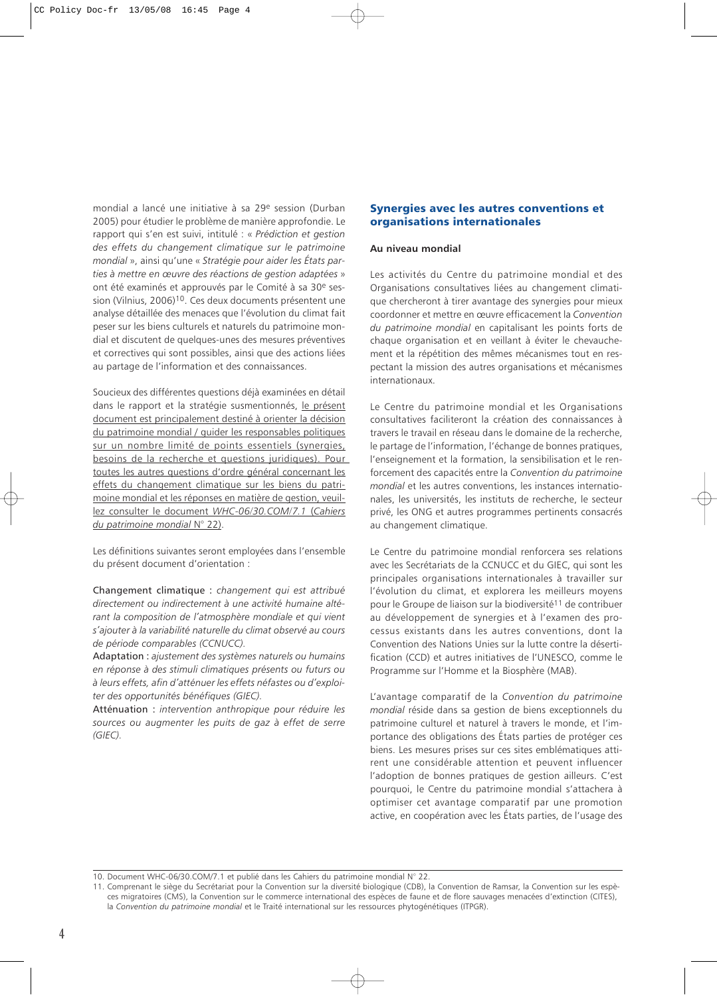<span id="page-20-0"></span>mondial a lancé une initiative à sa 29e session (Durban 2005) pour étudier le problème de manière approfondie. Le rapport qui s'en est suivi, intitulé : « *Prédiction et gestion des effets du changement climatique sur le patrimoine mondial* », ainsi qu'une « *Stratégie pour aider les États parties à mettre en œuvre des réactions de gestion adaptées* » ont été examinés et approuvés par le Comité à sa 30e session (Vilnius, 2006)10. Ces deux documents présentent une analyse détaillée des menaces que l'évolution du climat fait peser sur les biens culturels et naturels du patrimoine mondial et discutent de quelques-unes des mesures préventives et correctives qui sont possibles, ainsi que des actions liées au partage de l'information et des connaissances.

Soucieux des différentes questions déjà examinées en détail dans le rapport et la stratégie susmentionnés, le présent document est principalement destiné à orienter la décision du patrimoine mondial / guider les responsables politiques sur un nombre limité de points essentiels (synergies, besoins de la recherche et questions juridiques). Pour toutes les autres questions d'ordre général concernant les effets du changement climatique sur les biens du patrimoine mondial et les réponses en matière de gestion, veuillez consulter le document *WHC-06/30.COM/7.1* (*Cahiers du patrimoine mondial* N° 22).

Les définitions suivantes seront employées dans l'ensemble du présent document d'orientation :

Changement climatique : *changement qui est attribué directement ou indirectement à une activité humaine altérant la composition de l'atmosphère mondiale et qui vient s'ajouter à la variabilité naturelle du climat observé au cours de période comparables (CCNUCC).*

Adaptation : *ajustement des systèmes naturels ou humains en réponse à des stimuli climatiques présents ou futurs ou à leurs effets, afin d'atténuer les effets néfastes ou d'exploiter des opportunités bénéfiques (GIEC).*

Atténuation : *intervention anthropique pour réduire les sources ou augmenter les puits de gaz à effet de serre (GIEC).*

# Synergies avec les autres conventions et organisations internationales

#### **Au niveau mondial**

Les activités du Centre du patrimoine mondial et des Organisations consultatives liées au changement climatique chercheront à tirer avantage des synergies pour mieux coordonner et mettre en œuvre efficacement la *Convention du patrimoine mondial* en capitalisant les points forts de chaque organisation et en veillant à éviter le chevauchement et la répétition des mêmes mécanismes tout en respectant la mission des autres organisations et mécanismes internationaux.

Le Centre du patrimoine mondial et les Organisations consultatives faciliteront la création des connaissances à travers le travail en réseau dans le domaine de la recherche, le partage de l'information, l'échange de bonnes pratiques, l'enseignement et la formation, la sensibilisation et le renforcement des capacités entre la *Convention du patrimoine mondial* et les autres conventions, les instances internationales, les universités, les instituts de recherche, le secteur privé, les ONG et autres programmes pertinents consacrés au changement climatique.

Le Centre du patrimoine mondial renforcera ses relations avec les Secrétariats de la CCNUCC et du GIEC, qui sont les principales organisations internationales à travailler sur l'évolution du climat, et explorera les meilleurs moyens pour le Groupe de liaison sur la biodiversité<sup>11</sup> de contribuer au développement de synergies et à l'examen des processus existants dans les autres conventions, dont la Convention des Nations Unies sur la lutte contre la désertification (CCD) et autres initiatives de l'UNESCO, comme le Programme sur l'Homme et la Biosphère (MAB).

L'avantage comparatif de la *Convention du patrimoine mondial* réside dans sa gestion de biens exceptionnels du patrimoine culturel et naturel à travers le monde, et l'importance des obligations des États parties de protéger ces biens. Les mesures prises sur ces sites emblématiques attirent une considérable attention et peuvent influencer l'adoption de bonnes pratiques de gestion ailleurs. C'est pourquoi, le Centre du patrimoine mondial s'attachera à optimiser cet avantage comparatif par une promotion active, en coopération avec les États parties, de l'usage des

10. Document WHC-06/30.COM/7.1 et publié dans les Cahiers du patrimoine mondial N° 22.

<sup>11.</sup> Comprenant le siège du Secrétariat pour la Convention sur la diversité biologique (CDB), la Convention de Ramsar, la Convention sur les espèces migratoires (CMS), la Convention sur le commerce international des espèces de faune et de flore sauvages menacées d'extinction (CITES), la *Convention du patrimoine mondial* et le Traité international sur les ressources phytogénétiques (ITPGR).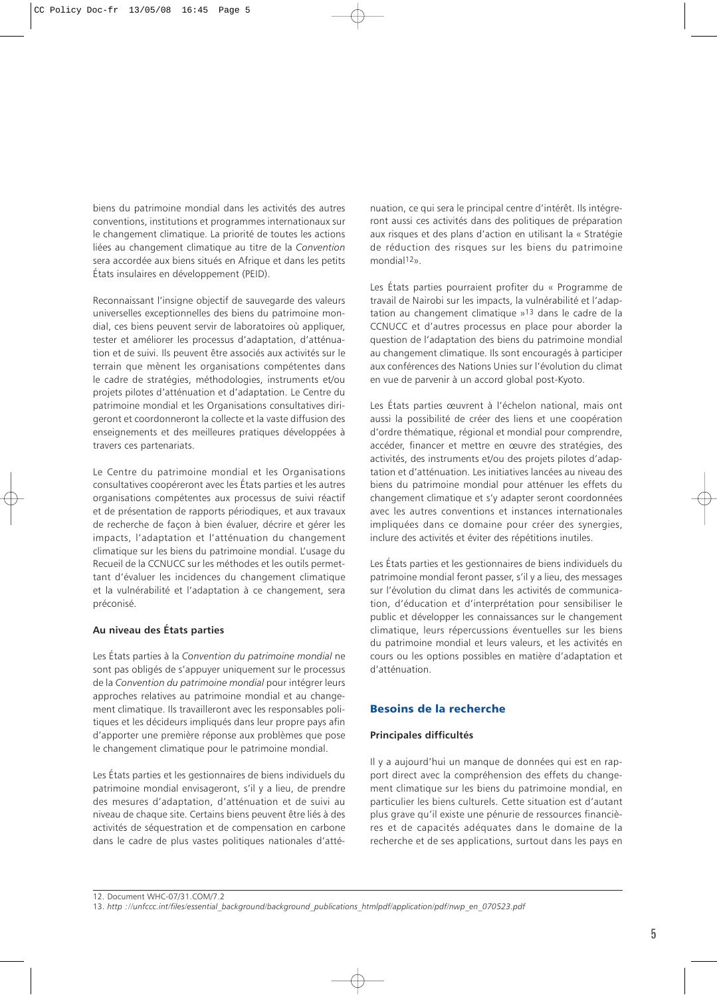<span id="page-21-0"></span>biens du patrimoine mondial dans les activités des autres conventions, institutions et programmes internationaux sur le changement climatique. La priorité de toutes les actions liées au changement climatique au titre de la *Convention* sera accordée aux biens situés en Afrique et dans les petits États insulaires en développement (PEID).

Reconnaissant l'insigne objectif de sauvegarde des valeurs universelles exceptionnelles des biens du patrimoine mondial, ces biens peuvent servir de laboratoires où appliquer, tester et améliorer les processus d'adaptation, d'atténuation et de suivi. Ils peuvent être associés aux activités sur le terrain que mènent les organisations compétentes dans le cadre de stratégies, méthodologies, instruments et/ou projets pilotes d'atténuation et d'adaptation. Le Centre du patrimoine mondial et les Organisations consultatives dirigeront et coordonneront la collecte et la vaste diffusion des enseignements et des meilleures pratiques développées à travers ces partenariats.

Le Centre du patrimoine mondial et les Organisations consultatives coopéreront avec les États parties et les autres organisations compétentes aux processus de suivi réactif et de présentation de rapports périodiques, et aux travaux de recherche de façon à bien évaluer, décrire et gérer les impacts, l'adaptation et l'atténuation du changement climatique sur les biens du patrimoine mondial. L'usage du Recueil de la CCNUCC sur les méthodes et les outils permettant d'évaluer les incidences du changement climatique et la vulnérabilité et l'adaptation à ce changement, sera préconisé.

# **Au niveau des États parties**

Les États parties à la *Convention du patrimoine mondial* ne sont pas obligés de s'appuyer uniquement sur le processus de la *Convention du patrimoine mondial* pour intégrer leurs approches relatives au patrimoine mondial et au changement climatique. Ils travailleront avec les responsables politiques et les décideurs impliqués dans leur propre pays afin d'apporter une première réponse aux problèmes que pose le changement climatique pour le patrimoine mondial.

Les États parties et les gestionnaires de biens individuels du patrimoine mondial envisageront, s'il y a lieu, de prendre des mesures d'adaptation, d'atténuation et de suivi au niveau de chaque site. Certains biens peuvent être liés à des activités de séquestration et de compensation en carbone dans le cadre de plus vastes politiques nationales d'atténuation, ce qui sera le principal centre d'intérêt. Ils intégreront aussi ces activités dans des politiques de préparation aux risques et des plans d'action en utilisant la « Stratégie de réduction des risques sur les biens du patrimoine mondial12».

Les États parties pourraient profiter du « Programme de travail de Nairobi sur les impacts, la vulnérabilité et l'adaptation au changement climatique »13 dans le cadre de la CCNUCC et d'autres processus en place pour aborder la question de l'adaptation des biens du patrimoine mondial au changement climatique. Ils sont encouragés à participer aux conférences des Nations Unies sur l'évolution du climat en vue de parvenir à un accord global post-Kyoto.

Les États parties œuvrent à l'échelon national, mais ont aussi la possibilité de créer des liens et une coopération d'ordre thématique, régional et mondial pour comprendre, accéder, financer et mettre en œuvre des stratégies, des activités, des instruments et/ou des projets pilotes d'adaptation et d'atténuation. Les initiatives lancées au niveau des biens du patrimoine mondial pour atténuer les effets du changement climatique et s'y adapter seront coordonnées avec les autres conventions et instances internationales impliquées dans ce domaine pour créer des synergies, inclure des activités et éviter des répétitions inutiles.

Les États parties et les gestionnaires de biens individuels du patrimoine mondial feront passer, s'il y a lieu, des messages sur l'évolution du climat dans les activités de communication, d'éducation et d'interprétation pour sensibiliser le public et développer les connaissances sur le changement climatique, leurs répercussions éventuelles sur les biens du patrimoine mondial et leurs valeurs, et les activités en cours ou les options possibles en matière d'adaptation et d'atténuation.

# Besoins de la recherche

#### **Principales difficultés**

Il y a aujourd'hui un manque de données qui est en rapport direct avec la compréhension des effets du changement climatique sur les biens du patrimoine mondial, en particulier les biens culturels. Cette situation est d'autant plus grave qu'il existe une pénurie de ressources financières et de capacités adéquates dans le domaine de la recherche et de ses applications, surtout dans les pays en

12. Document WHC-07/31.COM/7.2 13. *http ://unfccc.int/files/essential\_background/background\_publications\_htmlpdf/application/pdf/nwp\_en\_070523.pdf*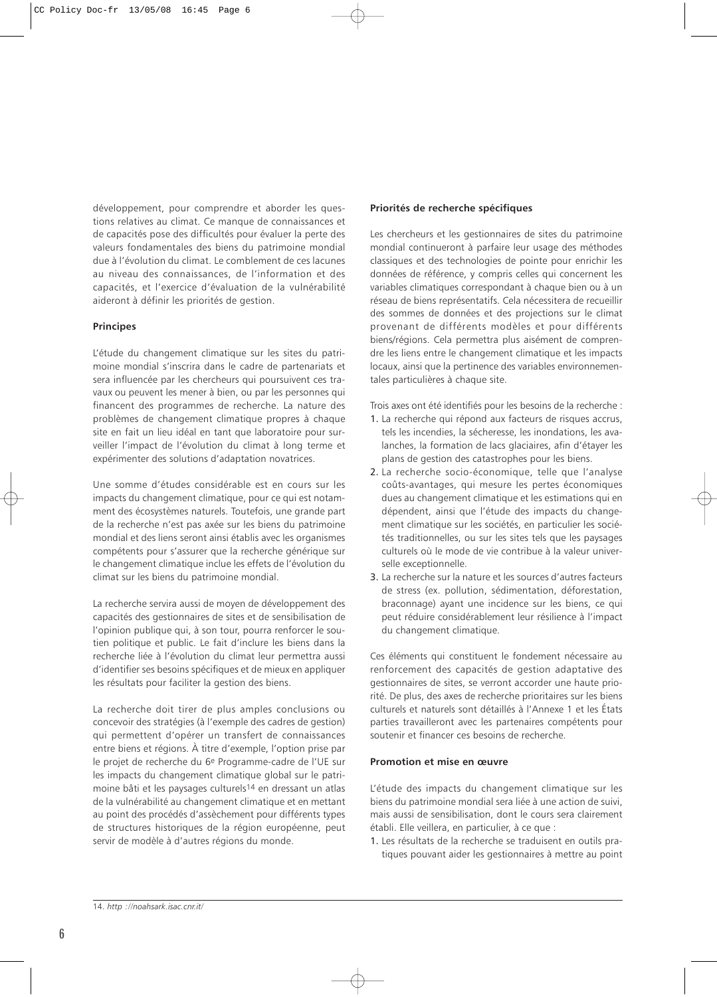développement, pour comprendre et aborder les questions relatives au climat. Ce manque de connaissances et de capacités pose des difficultés pour évaluer la perte des valeurs fondamentales des biens du patrimoine mondial due à l'évolution du climat. Le comblement de ces lacunes au niveau des connaissances, de l'information et des capacités, et l'exercice d'évaluation de la vulnérabilité aideront à définir les priorités de gestion.

# **Principes**

L'étude du changement climatique sur les sites du patrimoine mondial s'inscrira dans le cadre de partenariats et sera influencée par les chercheurs qui poursuivent ces travaux ou peuvent les mener à bien, ou par les personnes qui financent des programmes de recherche. La nature des problèmes de changement climatique propres à chaque site en fait un lieu idéal en tant que laboratoire pour surveiller l'impact de l'évolution du climat à long terme et expérimenter des solutions d'adaptation novatrices.

Une somme d'études considérable est en cours sur les impacts du changement climatique, pour ce qui est notamment des écosystèmes naturels. Toutefois, une grande part de la recherche n'est pas axée sur les biens du patrimoine mondial et des liens seront ainsi établis avec les organismes compétents pour s'assurer que la recherche générique sur le changement climatique inclue les effets de l'évolution du climat sur les biens du patrimoine mondial.

La recherche servira aussi de moyen de développement des capacités des gestionnaires de sites et de sensibilisation de l'opinion publique qui, à son tour, pourra renforcer le soutien politique et public. Le fait d'inclure les biens dans la recherche liée à l'évolution du climat leur permettra aussi d'identifier ses besoins spécifiques et de mieux en appliquer les résultats pour faciliter la gestion des biens.

La recherche doit tirer de plus amples conclusions ou concevoir des stratégies (à l'exemple des cadres de gestion) qui permettent d'opérer un transfert de connaissances entre biens et régions. À titre d'exemple, l'option prise par le projet de recherche du 6e Programme-cadre de l'UE sur les impacts du changement climatique global sur le patrimoine bâti et les paysages culturels14 en dressant un atlas de la vulnérabilité au changement climatique et en mettant au point des procédés d'assèchement pour différents types de structures historiques de la région européenne, peut servir de modèle à d'autres régions du monde.

# **Priorités de recherche spécifiques**

Les chercheurs et les gestionnaires de sites du patrimoine mondial continueront à parfaire leur usage des méthodes classiques et des technologies de pointe pour enrichir les données de référence, y compris celles qui concernent les variables climatiques correspondant à chaque bien ou à un réseau de biens représentatifs. Cela nécessitera de recueillir des sommes de données et des projections sur le climat provenant de différents modèles et pour différents biens/régions. Cela permettra plus aisément de comprendre les liens entre le changement climatique et les impacts locaux, ainsi que la pertinence des variables environnementales particulières à chaque site.

Trois axes ont été identifiés pour les besoins de la recherche :

- 1. La recherche qui répond aux facteurs de risques accrus, tels les incendies, la sécheresse, les inondations, les avalanches, la formation de lacs glaciaires, afin d'étayer les plans de gestion des catastrophes pour les biens.
- 2. La recherche socio-économique, telle que l'analyse coûts-avantages, qui mesure les pertes économiques dues au changement climatique et les estimations qui en dépendent, ainsi que l'étude des impacts du changement climatique sur les sociétés, en particulier les sociétés traditionnelles, ou sur les sites tels que les paysages culturels où le mode de vie contribue à la valeur universelle exceptionnelle.
- 3. La recherche sur la nature et les sources d'autres facteurs de stress (ex. pollution, sédimentation, déforestation, braconnage) ayant une incidence sur les biens, ce qui peut réduire considérablement leur résilience à l'impact du changement climatique.

Ces éléments qui constituent le fondement nécessaire au renforcement des capacités de gestion adaptative des gestionnaires de sites, se verront accorder une haute priorité. De plus, des axes de recherche prioritaires sur les biens culturels et naturels sont détaillés à l'Annexe 1 et les États parties travailleront avec les partenaires compétents pour soutenir et financer ces besoins de recherche.

# **Promotion et mise en œuvre**

L'étude des impacts du changement climatique sur les biens du patrimoine mondial sera liée à une action de suivi, mais aussi de sensibilisation, dont le cours sera clairement établi. Elle veillera, en particulier, à ce que :

1. Les résultats de la recherche se traduisent en outils pratiques pouvant aider les gestionnaires à mettre au point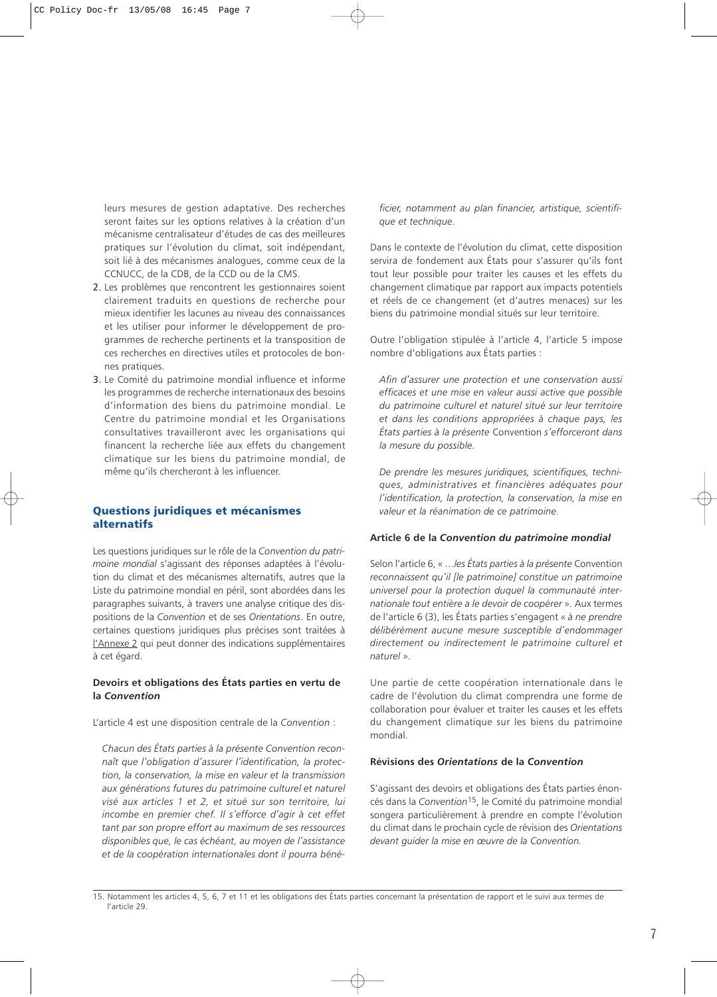<span id="page-23-0"></span>leurs mesures de gestion adaptative. Des recherches seront faites sur les options relatives à la création d'un mécanisme centralisateur d'études de cas des meilleures pratiques sur l'évolution du climat, soit indépendant, soit lié à des mécanismes analogues, comme ceux de la CCNUCC, de la CDB, de la CCD ou de la CMS.

- 2. Les problèmes que rencontrent les gestionnaires soient clairement traduits en questions de recherche pour mieux identifier les lacunes au niveau des connaissances et les utiliser pour informer le développement de programmes de recherche pertinents et la transposition de ces recherches en directives utiles et protocoles de bonnes pratiques.
- 3. Le Comité du patrimoine mondial influence et informe les programmes de recherche internationaux des besoins d'information des biens du patrimoine mondial. Le Centre du patrimoine mondial et les Organisations consultatives travailleront avec les organisations qui financent la recherche liée aux effets du changement climatique sur les biens du patrimoine mondial, de même qu'ils chercheront à les influencer.

# Questions juridiques et mécanismes alternatifs

Les questions juridiques sur le rôle de la *Convention du patrimoine mondial* s'agissant des réponses adaptées à l'évolution du climat et des mécanismes alternatifs, autres que la Liste du patrimoine mondial en péril, sont abordées dans les paragraphes suivants, à travers une analyse critique des dispositions de la *Convention* et de ses *Orientations*. En outre, certaines questions juridiques plus précises sont traitées à l'Annexe 2 qui peut donner des indications supplémentaires à cet égard.

# **Devoirs et obligations des États parties en vertu de la** *Convention*

L'article 4 est une disposition centrale de la *Convention* :

*Chacun des États parties à la présente Convention reconnaît que l'obligation d'assurer l'identification, la protection, la conservation, la mise en valeur et la transmission aux générations futures du patrimoine culturel et naturel visé aux articles 1 et 2, et situé sur son territoire, lui incombe en premier chef. Il s'efforce d'agir à cet effet tant par son propre effort au maximum de ses ressources disponibles que, le cas échéant, au moyen de l'assistance et de la coopération internationales dont il pourra béné-* *ficier, notamment au plan financier, artistique, scientifique et technique.*

Dans le contexte de l'évolution du climat, cette disposition servira de fondement aux États pour s'assurer qu'ils font tout leur possible pour traiter les causes et les effets du changement climatique par rapport aux impacts potentiels et réels de ce changement (et d'autres menaces) sur les biens du patrimoine mondial situés sur leur territoire.

Outre l'obligation stipulée à l'article 4, l'article 5 impose nombre d'obligations aux États parties :

*Afin d'assurer une protection et une conservation aussi efficaces et une mise en valeur aussi active que possible du patrimoine culturel et naturel situé sur leur territoire et dans les conditions appropriées à chaque pays, les États parties à la présente* Convention *s'efforceront dans la mesure du possible.*

*De prendre les mesures juridiques, scientifiques, techniques, administratives et financières adéquates pour l'identification, la protection, la conservation, la mise en valeur et la réanimation de ce patrimoine.*

#### **Article 6 de la** *Convention du patrimoine mondial*

Selon l'article 6, « …*les États parties à la présente* Convention *reconnaissent qu'il [le patrimoine] constitue un patrimoine universel pour la protection duquel la communauté internationale tout entière a le devoir de coopérer* ». Aux termes de l'article 6 (3), les États parties s'engagent « *à ne prendre délibérément aucune mesure susceptible d'endommager directement ou indirectement le patrimoine culturel et naturel* ».

Une partie de cette coopération internationale dans le cadre de l'évolution du climat comprendra une forme de collaboration pour évaluer et traiter les causes et les effets du changement climatique sur les biens du patrimoine mondial.

#### **Révisions des** *Orientations* **de la** *Convention*

S'agissant des devoirs et obligations des États parties énoncés dans la *Convention*15, le Comité du patrimoine mondial songera particulièrement à prendre en compte l'évolution du climat dans le prochain cycle de révision des *Orientations devant guider la mise en œuvre de la Convention.*

<sup>15.</sup> Notamment les articles 4, 5, 6, 7 et 11 et les obligations des États parties concernant la présentation de rapport et le suivi aux termes de l'article 29.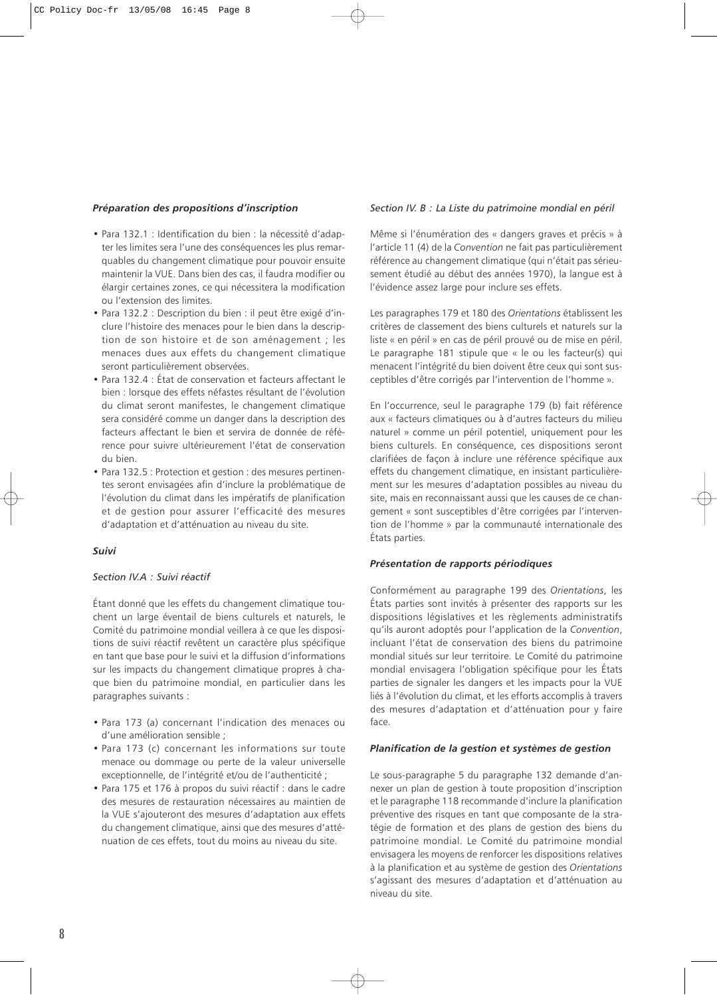# *Préparation des propositions d'inscription*

- Para 132.1 : Identification du bien : la nécessité d'adapter les limites sera l'une des conséquences les plus remarquables du changement climatique pour pouvoir ensuite maintenir la VUE. Dans bien des cas, il faudra modifier ou élargir certaines zones, ce qui nécessitera la modification ou l'extension des limites.
- Para 132.2 : Description du bien : il peut être exigé d'inclure l'histoire des menaces pour le bien dans la description de son histoire et de son aménagement ; les menaces dues aux effets du changement climatique seront particulièrement observées.
- Para 132.4 : État de conservation et facteurs affectant le bien : lorsque des effets néfastes résultant de l'évolution du climat seront manifestes, le changement climatique sera considéré comme un danger dans la description des facteurs affectant le bien et servira de donnée de référence pour suivre ultérieurement l'état de conservation du bien.
- Para 132.5 : Protection et gestion : des mesures pertinentes seront envisagées afin d'inclure la problématique de l'évolution du climat dans les impératifs de planification et de gestion pour assurer l'efficacité des mesures d'adaptation et d'atténuation au niveau du site.

#### *Suivi*

# *Section IV.A : Suivi réactif*

Étant donné que les effets du changement climatique touchent un large éventail de biens culturels et naturels, le Comité du patrimoine mondial veillera à ce que les dispositions de suivi réactif revêtent un caractère plus spécifique en tant que base pour le suivi et la diffusion d'informations sur les impacts du changement climatique propres à chaque bien du patrimoine mondial, en particulier dans les paragraphes suivants :

- Para 173 (a) concernant l'indication des menaces ou d'une amélioration sensible ;
- Para 173 (c) concernant les informations sur toute menace ou dommage ou perte de la valeur universelle exceptionnelle, de l'intégrité et/ou de l'authenticité ;
- Para 175 et 176 à propos du suivi réactif : dans le cadre des mesures de restauration nécessaires au maintien de la VUE s'ajouteront des mesures d'adaptation aux effets du changement climatique, ainsi que des mesures d'atténuation de ces effets, tout du moins au niveau du site.

#### *Section IV. B : La Liste du patrimoine mondial en péril*

Même si l'énumération des « dangers graves et précis » à l'article 11 (4) de la *Convention* ne fait pas particulièrement référence au changement climatique (qui n'était pas sérieusement étudié au début des années 1970), la langue est à l'évidence assez large pour inclure ses effets.

Les paragraphes 179 et 180 des *Orientations* établissent les critères de classement des biens culturels et naturels sur la liste « en péril » en cas de péril prouvé ou de mise en péril. Le paragraphe 181 stipule que « le ou les facteur(s) qui menacent l'intégrité du bien doivent être ceux qui sont susceptibles d'être corrigés par l'intervention de l'homme ».

En l'occurrence, seul le paragraphe 179 (b) fait référence aux « facteurs climatiques ou à d'autres facteurs du milieu naturel » comme un péril potentiel, uniquement pour les biens culturels. En conséquence, ces dispositions seront clarifiées de façon à inclure une référence spécifique aux effets du changement climatique, en insistant particulièrement sur les mesures d'adaptation possibles au niveau du site, mais en reconnaissant aussi que les causes de ce changement « sont susceptibles d'être corrigées par l'intervention de l'homme » par la communauté internationale des États parties.

#### *Présentation de rapports périodiques*

Conformément au paragraphe 199 des *Orientations*, les États parties sont invités à présenter des rapports sur les dispositions législatives et les règlements administratifs qu'ils auront adoptés pour l'application de la *Convention*, incluant l'état de conservation des biens du patrimoine mondial situés sur leur territoire. Le Comité du patrimoine mondial envisagera l'obligation spécifique pour les États parties de signaler les dangers et les impacts pour la VUE liés à l'évolution du climat, et les efforts accomplis à travers des mesures d'adaptation et d'atténuation pour y faire face.

#### *Planification de la gestion et systèmes de gestion*

Le sous-paragraphe 5 du paragraphe 132 demande d'annexer un plan de gestion à toute proposition d'inscription et le paragraphe 118 recommande d'inclure la planification préventive des risques en tant que composante de la stratégie de formation et des plans de gestion des biens du patrimoine mondial. Le Comité du patrimoine mondial envisagera les moyens de renforcer les dispositions relatives à la planification et au système de gestion des *Orientations* s'agissant des mesures d'adaptation et d'atténuation au niveau du site.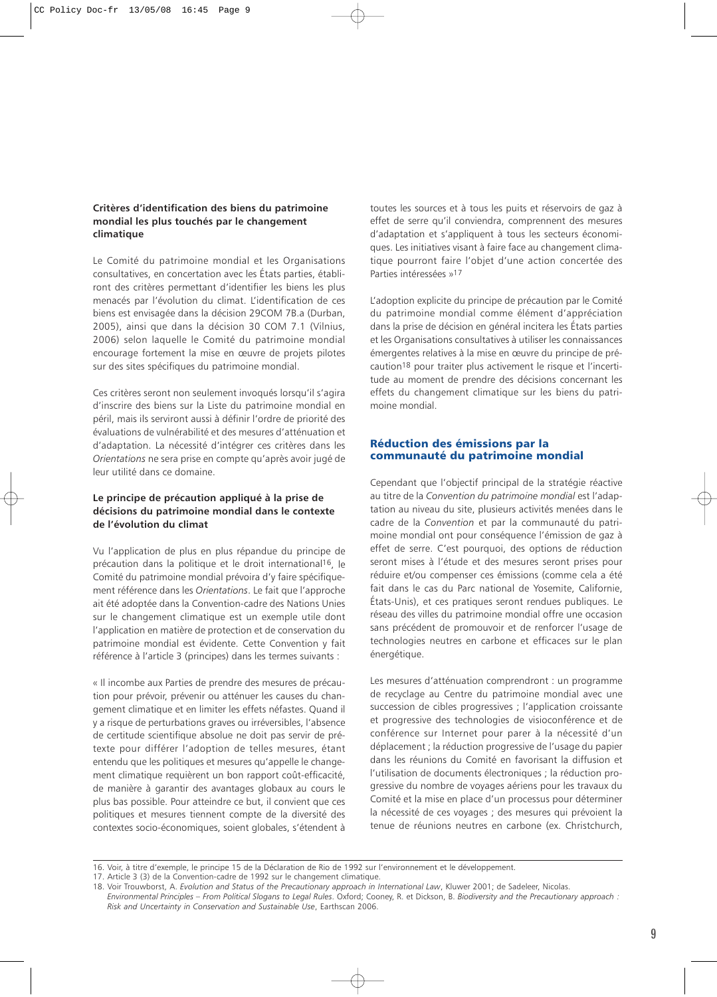# <span id="page-25-0"></span>**Critères d'identification des biens du patrimoine mondial les plus touchés par le changement climatique**

Le Comité du patrimoine mondial et les Organisations consultatives, en concertation avec les États parties, établiront des critères permettant d'identifier les biens les plus menacés par l'évolution du climat. L'identification de ces biens est envisagée dans la décision 29COM 7B.a (Durban, 2005), ainsi que dans la décision 30 COM 7.1 (Vilnius, 2006) selon laquelle le Comité du patrimoine mondial encourage fortement la mise en œuvre de projets pilotes sur des sites spécifiques du patrimoine mondial.

Ces critères seront non seulement invoqués lorsqu'il s'agira d'inscrire des biens sur la Liste du patrimoine mondial en péril, mais ils serviront aussi à définir l'ordre de priorité des évaluations de vulnérabilité et des mesures d'atténuation et d'adaptation. La nécessité d'intégrer ces critères dans les *Orientations* ne sera prise en compte qu'après avoir jugé de leur utilité dans ce domaine.

# **Le principe de précaution appliqué à la prise de décisions du patrimoine mondial dans le contexte de l'évolution du climat**

Vu l'application de plus en plus répandue du principe de précaution dans la politique et le droit international16, le Comité du patrimoine mondial prévoira d'y faire spécifiquement référence dans les *Orientations*. Le fait que l'approche ait été adoptée dans la Convention-cadre des Nations Unies sur le changement climatique est un exemple utile dont l'application en matière de protection et de conservation du patrimoine mondial est évidente. Cette Convention y fait référence à l'article 3 (principes) dans les termes suivants :

« Il incombe aux Parties de prendre des mesures de précaution pour prévoir, prévenir ou atténuer les causes du changement climatique et en limiter les effets néfastes. Quand il y a risque de perturbations graves ou irréversibles, l'absence de certitude scientifique absolue ne doit pas servir de prétexte pour différer l'adoption de telles mesures, étant entendu que les politiques et mesures qu'appelle le changement climatique requièrent un bon rapport coût-efficacité, de manière à garantir des avantages globaux au cours le plus bas possible. Pour atteindre ce but, il convient que ces politiques et mesures tiennent compte de la diversité des contextes socio-économiques, soient globales, s'étendent à toutes les sources et à tous les puits et réservoirs de gaz à effet de serre qu'il conviendra, comprennent des mesures d'adaptation et s'appliquent à tous les secteurs économiques. Les initiatives visant à faire face au changement climatique pourront faire l'objet d'une action concertée des Parties intéressées »17

L'adoption explicite du principe de précaution par le Comité du patrimoine mondial comme élément d'appréciation dans la prise de décision en général incitera les États parties et les Organisations consultatives à utiliser les connaissances émergentes relatives à la mise en œuvre du principe de précaution18 pour traiter plus activement le risque et l'incertitude au moment de prendre des décisions concernant les effets du changement climatique sur les biens du patrimoine mondial.

# Réduction des émissions par la communauté du patrimoine mondial

Cependant que l'objectif principal de la stratégie réactive au titre de la *Convention du patrimoine mondial* est l'adaptation au niveau du site, plusieurs activités menées dans le cadre de la *Convention* et par la communauté du patrimoine mondial ont pour conséquence l'émission de gaz à effet de serre. C'est pourquoi, des options de réduction seront mises à l'étude et des mesures seront prises pour réduire et/ou compenser ces émissions (comme cela a été fait dans le cas du Parc national de Yosemite, Californie, États-Unis), et ces pratiques seront rendues publiques. Le réseau des villes du patrimoine mondial offre une occasion sans précédent de promouvoir et de renforcer l'usage de technologies neutres en carbone et efficaces sur le plan énergétique.

Les mesures d'atténuation comprendront : un programme de recyclage au Centre du patrimoine mondial avec une succession de cibles progressives ; l'application croissante et progressive des technologies de visioconférence et de conférence sur Internet pour parer à la nécessité d'un déplacement ; la réduction progressive de l'usage du papier dans les réunions du Comité en favorisant la diffusion et l'utilisation de documents électroniques ; la réduction progressive du nombre de voyages aériens pour les travaux du Comité et la mise en place d'un processus pour déterminer la nécessité de ces voyages ; des mesures qui prévoient la tenue de réunions neutres en carbone (ex. Christchurch,

<sup>16.</sup> Voir, à titre d'exemple, le principe 15 de la Déclaration de Rio de 1992 sur l'environnement et le développement.

<sup>17.</sup> Article 3 (3) de la Convention-cadre de 1992 sur le changement climatique.

<sup>18.</sup> Voir Trouwborst, A. *Evolution and Status of the Precautionary approach in International Law*, Kluwer 2001; de Sadeleer, Nicolas. *Environmental Principles – From Political Slogans to Legal Rules*. Oxford; Cooney, R. et Dickson, B. *Biodiversity and the Precautionary approach :*

*Risk and Uncertainty in Conservation and Sustainable Use*, Earthscan 2006.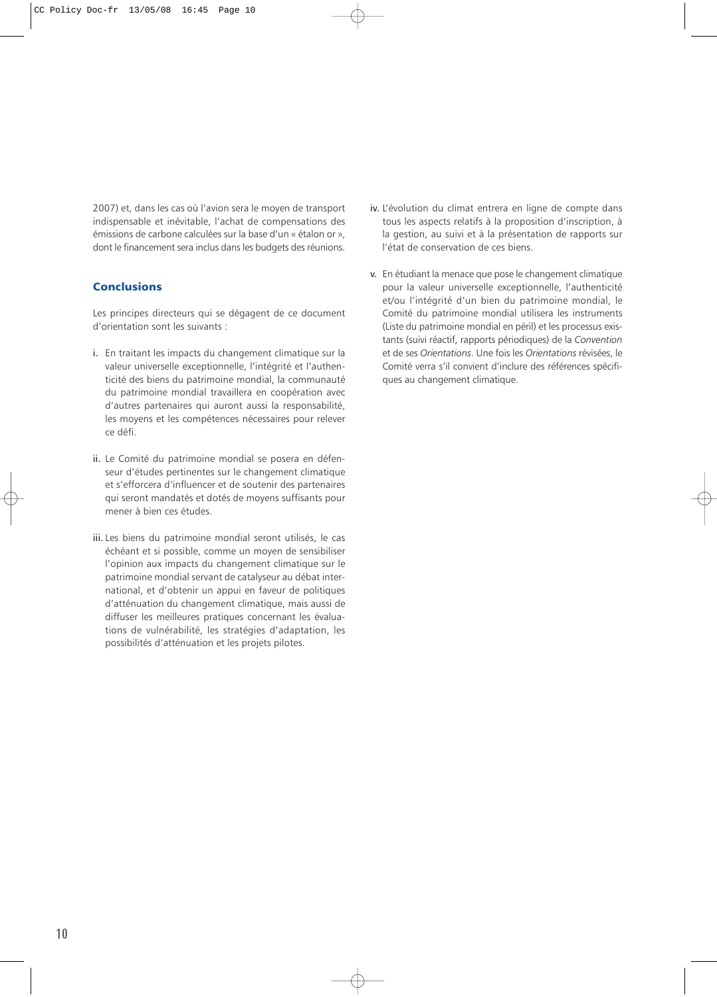<span id="page-26-0"></span>2007) et, dans les cas où l'avion sera le moyen de transport indispensable et inévitable, l'achat de compensations des émissions de carbone calculées sur la base d'un « étalon or », dont le financement sera inclus dans les budgets des réunions.

# **Conclusions**

Les principes directeurs qui se dégagent de ce document d'orientation sont les suivants :

- i. En traitant les impacts du changement climatique sur la valeur universelle exceptionnelle, l'intégrité et l'authenticité des biens du patrimoine mondial, la communauté du patrimoine mondial travaillera en coopération avec d'autres partenaires qui auront aussi la responsabilité, les moyens et les compétences nécessaires pour relever ce défi.
- ii. Le Comité du patrimoine mondial se posera en défenseur d'études pertinentes sur le changement climatique et s'efforcera d'influencer et de soutenir des partenaires qui seront mandatés et dotés de moyens suffisants pour mener à bien ces études.
- iii. Les biens du patrimoine mondial seront utilisés, le cas échéant et si possible, comme un moyen de sensibiliser l'opinion aux impacts du changement climatique sur le patrimoine mondial servant de catalyseur au débat international, et d'obtenir un appui en faveur de politiques d'atténuation du changement climatique, mais aussi de diffuser les meilleures pratiques concernant les évaluations de vulnérabilité, les stratégies d'adaptation, les possibilités d'atténuation et les projets pilotes.
- iv. L'évolution du climat entrera en ligne de compte dans tous les aspects relatifs à la proposition d'inscription, à la gestion, au suivi et à la présentation de rapports sur l'état de conservation de ces biens.
- v. En étudiant la menace que pose le changement climatique pour la valeur universelle exceptionnelle, l'authenticité et/ou l'intégrité d'un bien du patrimoine mondial, le Comité du patrimoine mondial utilisera les instruments (Liste du patrimoine mondial en péril) et les processus existants (suivi réactif, rapports périodiques) de la *Convention* et de ses *Orientations*. Une fois les *Orientations* révisées, le Comité verra s'il convient d'inclure des références spécifiques au changement climatique.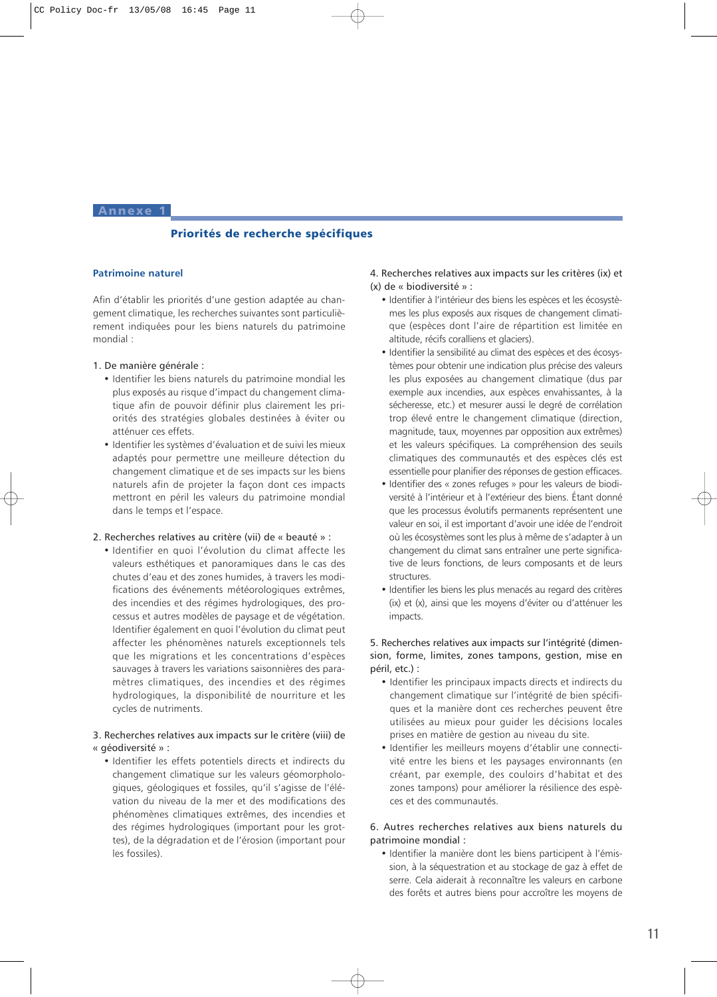<span id="page-27-0"></span>Annexe 1

# Priorités de recherche spécifiques

# **Patrimoine naturel**

Afin d'établir les priorités d'une gestion adaptée au changement climatique, les recherches suivantes sont particulièrement indiquées pour les biens naturels du patrimoine mondial :

#### 1. De manière générale :

- Identifier les biens naturels du patrimoine mondial les plus exposés au risque d'impact du changement climatique afin de pouvoir définir plus clairement les priorités des stratégies globales destinées à éviter ou atténuer ces effets.
- Identifier les systèmes d'évaluation et de suivi les mieux adaptés pour permettre une meilleure détection du changement climatique et de ses impacts sur les biens naturels afin de projeter la façon dont ces impacts mettront en péril les valeurs du patrimoine mondial dans le temps et l'espace.

#### 2. Recherches relatives au critère (vii) de « beauté » :

• Identifier en quoi l'évolution du climat affecte les valeurs esthétiques et panoramiques dans le cas des chutes d'eau et des zones humides, à travers les modifications des événements météorologiques extrêmes, des incendies et des régimes hydrologiques, des processus et autres modèles de paysage et de végétation. Identifier également en quoi l'évolution du climat peut affecter les phénomènes naturels exceptionnels tels que les migrations et les concentrations d'espèces sauvages à travers les variations saisonnières des paramètres climatiques, des incendies et des régimes hydrologiques, la disponibilité de nourriture et les cycles de nutriments.

# 3. Recherches relatives aux impacts sur le critère (viii) de « géodiversité » :

• Identifier les effets potentiels directs et indirects du changement climatique sur les valeurs géomorphologiques, géologiques et fossiles, qu'il s'agisse de l'élévation du niveau de la mer et des modifications des phénomènes climatiques extrêmes, des incendies et des régimes hydrologiques (important pour les grottes), de la dégradation et de l'érosion (important pour les fossiles).

# 4. Recherches relatives aux impacts sur les critères (ix) et (x) de « biodiversité » :

- Identifier à l'intérieur des biens les espèces et les écosystèmes les plus exposés aux risques de changement climatique (espèces dont l'aire de répartition est limitée en altitude, récifs coralliens et glaciers).
- Identifier la sensibilité au climat des espèces et des écosystèmes pour obtenir une indication plus précise des valeurs les plus exposées au changement climatique (dus par exemple aux incendies, aux espèces envahissantes, à la sécheresse, etc.) et mesurer aussi le degré de corrélation trop élevé entre le changement climatique (direction, magnitude, taux, moyennes par opposition aux extrêmes) et les valeurs spécifiques. La compréhension des seuils climatiques des communautés et des espèces clés est essentielle pour planifier des réponses de gestion efficaces.
- Identifier des « zones refuges » pour les valeurs de biodiversité à l'intérieur et à l'extérieur des biens. Étant donné que les processus évolutifs permanents représentent une valeur en soi, il est important d'avoir une idée de l'endroit où les écosystèmes sont les plus à même de s'adapter à un changement du climat sans entraîner une perte significative de leurs fonctions, de leurs composants et de leurs structures.
- Identifier les biens les plus menacés au regard des critères (ix) et (x), ainsi que les moyens d'éviter ou d'atténuer les impacts.

# 5. Recherches relatives aux impacts sur l'intégrité (dimension, forme, limites, zones tampons, gestion, mise en péril, etc.) :

- Identifier les principaux impacts directs et indirects du changement climatique sur l'intégrité de bien spécifiques et la manière dont ces recherches peuvent être utilisées au mieux pour guider les décisions locales prises en matière de gestion au niveau du site.
- Identifier les meilleurs moyens d'établir une connectivité entre les biens et les paysages environnants (en créant, par exemple, des couloirs d'habitat et des zones tampons) pour améliorer la résilience des espèces et des communautés.

# 6. Autres recherches relatives aux biens naturels du patrimoine mondial :

• Identifier la manière dont les biens participent à l'émission, à la séquestration et au stockage de gaz à effet de serre. Cela aiderait à reconnaître les valeurs en carbone des forêts et autres biens pour accroître les moyens de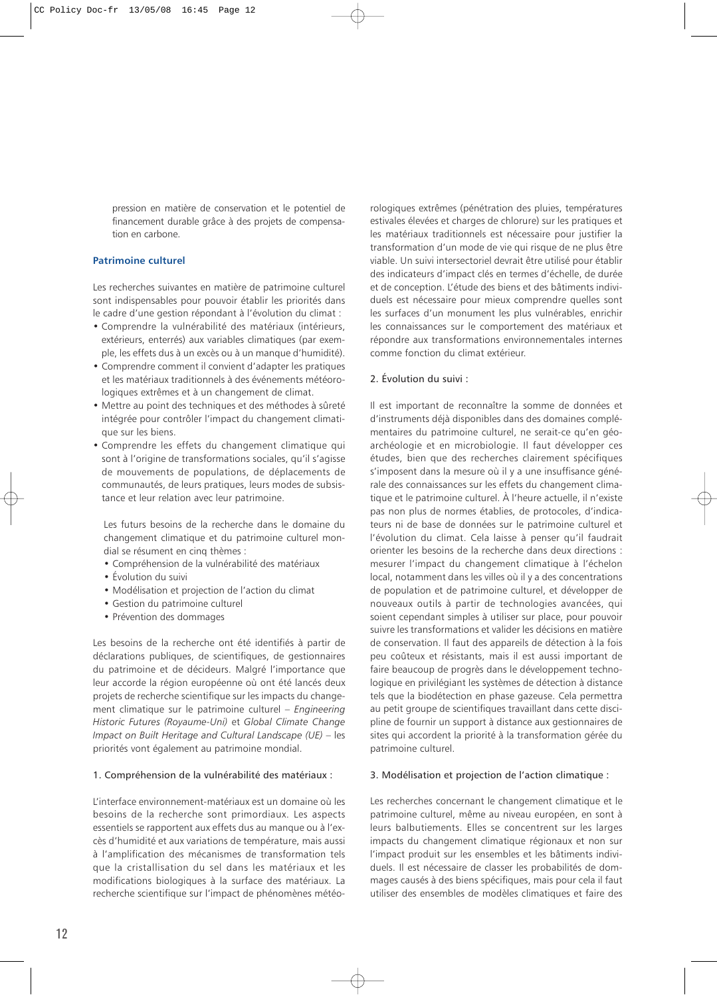pression en matière de conservation et le potentiel de financement durable grâce à des projets de compensation en carbone.

# **Patrimoine culturel**

Les recherches suivantes en matière de patrimoine culturel sont indispensables pour pouvoir établir les priorités dans le cadre d'une gestion répondant à l'évolution du climat :

- Comprendre la vulnérabilité des matériaux (intérieurs, extérieurs, enterrés) aux variables climatiques (par exemple, les effets dus à un excès ou à un manque d'humidité).
- Comprendre comment il convient d'adapter les pratiques et les matériaux traditionnels à des événements météorologiques extrêmes et à un changement de climat.
- Mettre au point des techniques et des méthodes à sûreté intégrée pour contrôler l'impact du changement climatique sur les biens.
- Comprendre les effets du changement climatique qui sont à l'origine de transformations sociales, qu'il s'agisse de mouvements de populations, de déplacements de communautés, de leurs pratiques, leurs modes de subsistance et leur relation avec leur patrimoine.

Les futurs besoins de la recherche dans le domaine du changement climatique et du patrimoine culturel mondial se résument en cinq thèmes :

- Compréhension de la vulnérabilité des matériaux
- Évolution du suivi
- Modélisation et projection de l'action du climat
- Gestion du patrimoine culturel
- Prévention des dommages

Les besoins de la recherche ont été identifiés à partir de déclarations publiques, de scientifiques, de gestionnaires du patrimoine et de décideurs. Malgré l'importance que leur accorde la région européenne où ont été lancés deux projets de recherche scientifique sur les impacts du changement climatique sur le patrimoine culturel – *Engineering Historic Futures (Royaume-Uni)* et *Global Climate Change Impact on Built Heritage and Cultural Landscape (UE)* – les priorités vont également au patrimoine mondial.

### 1. Compréhension de la vulnérabilité des matériaux :

L'interface environnement-matériaux est un domaine où les besoins de la recherche sont primordiaux. Les aspects essentiels se rapportent aux effets dus au manque ou à l'excès d'humidité et aux variations de température, mais aussi à l'amplification des mécanismes de transformation tels que la cristallisation du sel dans les matériaux et les modifications biologiques à la surface des matériaux. La recherche scientifique sur l'impact de phénomènes météo-

rologiques extrêmes (pénétration des pluies, températures estivales élevées et charges de chlorure) sur les pratiques et les matériaux traditionnels est nécessaire pour justifier la transformation d'un mode de vie qui risque de ne plus être viable. Un suivi intersectoriel devrait être utilisé pour établir des indicateurs d'impact clés en termes d'échelle, de durée et de conception. L'étude des biens et des bâtiments individuels est nécessaire pour mieux comprendre quelles sont les surfaces d'un monument les plus vulnérables, enrichir les connaissances sur le comportement des matériaux et répondre aux transformations environnementales internes comme fonction du climat extérieur.

#### 2. Évolution du suivi :

Il est important de reconnaître la somme de données et d'instruments déjà disponibles dans des domaines complémentaires du patrimoine culturel, ne serait-ce qu'en géoarchéologie et en microbiologie. Il faut développer ces études, bien que des recherches clairement spécifiques s'imposent dans la mesure où il y a une insuffisance générale des connaissances sur les effets du changement climatique et le patrimoine culturel. À l'heure actuelle, il n'existe pas non plus de normes établies, de protocoles, d'indicateurs ni de base de données sur le patrimoine culturel et l'évolution du climat. Cela laisse à penser qu'il faudrait orienter les besoins de la recherche dans deux directions : mesurer l'impact du changement climatique à l'échelon local, notamment dans les villes où il y a des concentrations de population et de patrimoine culturel, et développer de nouveaux outils à partir de technologies avancées, qui soient cependant simples à utiliser sur place, pour pouvoir suivre les transformations et valider les décisions en matière de conservation. Il faut des appareils de détection à la fois peu coûteux et résistants, mais il est aussi important de faire beaucoup de progrès dans le développement technologique en privilégiant les systèmes de détection à distance tels que la biodétection en phase gazeuse. Cela permettra au petit groupe de scientifiques travaillant dans cette discipline de fournir un support à distance aux gestionnaires de sites qui accordent la priorité à la transformation gérée du patrimoine culturel.

#### 3. Modélisation et projection de l'action climatique :

Les recherches concernant le changement climatique et le patrimoine culturel, même au niveau européen, en sont à leurs balbutiements. Elles se concentrent sur les larges impacts du changement climatique régionaux et non sur l'impact produit sur les ensembles et les bâtiments individuels. Il est nécessaire de classer les probabilités de dommages causés à des biens spécifiques, mais pour cela il faut utiliser des ensembles de modèles climatiques et faire des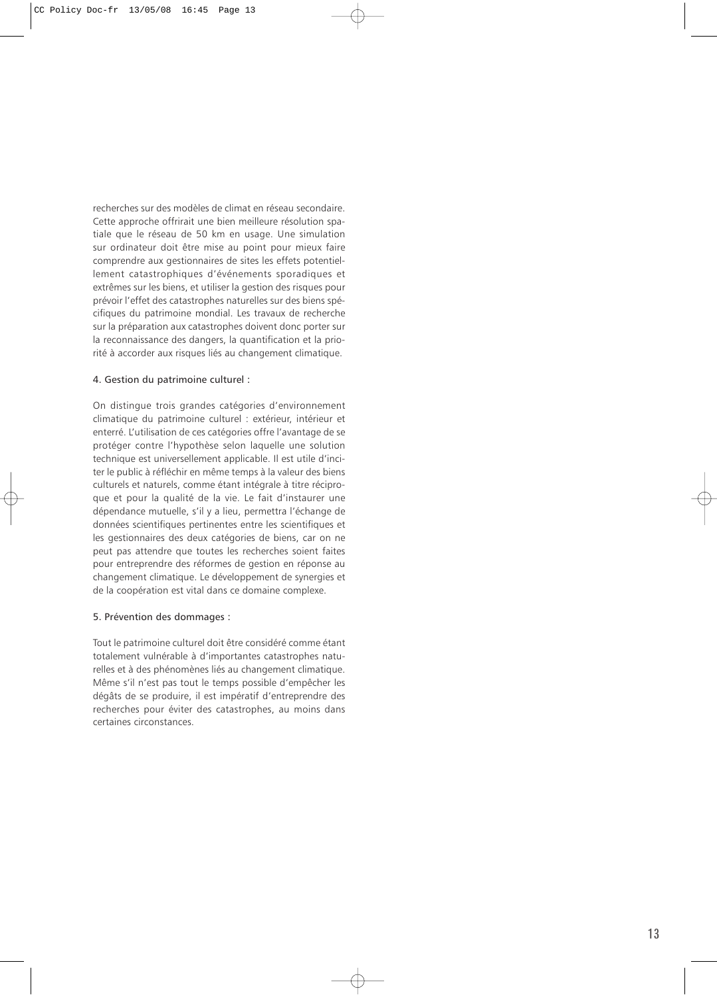recherches sur des modèles de climat en réseau secondaire. Cette approche offrirait une bien meilleure résolution spatiale que le réseau de 50 km en usage. Une simulation sur ordinateur doit être mise au point pour mieux faire comprendre aux gestionnaires de sites les effets potentiellement catastrophiques d'événements sporadiques et extrêmes sur les biens, et utiliser la gestion des risques pour prévoir l'effet des catastrophes naturelles sur des biens spécifiques du patrimoine mondial. Les travaux de recherche sur la préparation aux catastrophes doivent donc porter sur la reconnaissance des dangers, la quantification et la priorité à accorder aux risques liés au changement climatique.

# 4. Gestion du patrimoine culturel :

On distingue trois grandes catégories d'environnement climatique du patrimoine culturel : extérieur, intérieur et enterré. L'utilisation de ces catégories offre l'avantage de se protéger contre l'hypothèse selon laquelle une solution technique est universellement applicable. Il est utile d'inciter le public à réfléchir en même temps à la valeur des biens culturels et naturels, comme étant intégrale à titre réciproque et pour la qualité de la vie. Le fait d'instaurer une dépendance mutuelle, s'il y a lieu, permettra l'échange de données scientifiques pertinentes entre les scientifiques et les gestionnaires des deux catégories de biens, car on ne peut pas attendre que toutes les recherches soient faites pour entreprendre des réformes de gestion en réponse au changement climatique. Le développement de synergies et de la coopération est vital dans ce domaine complexe.

#### 5. Prévention des dommages :

Tout le patrimoine culturel doit être considéré comme étant totalement vulnérable à d'importantes catastrophes naturelles et à des phénomènes liés au changement climatique. Même s'il n'est pas tout le temps possible d'empêcher les dégâts de se produire, il est impératif d'entreprendre des recherches pour éviter des catastrophes, au moins dans certaines circonstances.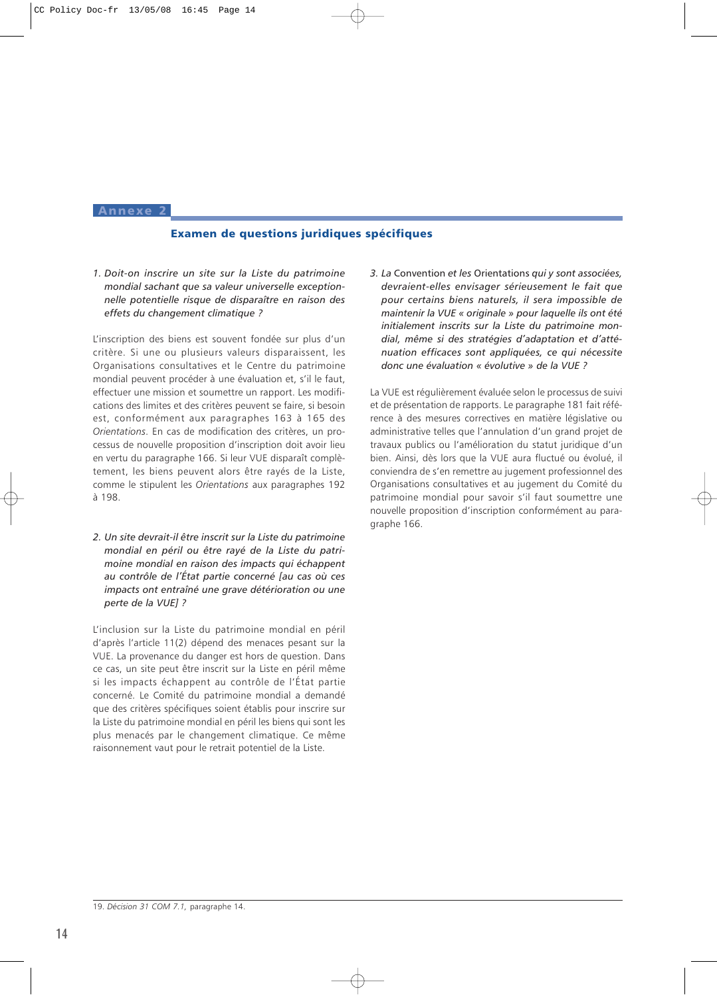#### <span id="page-30-0"></span>Annexe

# Examen de questions juridiques spécifiques

*1. Doit-on inscrire un site sur la Liste du patrimoine mondial sachant que sa valeur universelle exceptionnelle potentielle risque de disparaître en raison des effets du changement climatique ?*

L'inscription des biens est souvent fondée sur plus d'un critère. Si une ou plusieurs valeurs disparaissent, les Organisations consultatives et le Centre du patrimoine mondial peuvent procéder à une évaluation et, s'il le faut, effectuer une mission et soumettre un rapport. Les modifications des limites et des critères peuvent se faire, si besoin est, conformément aux paragraphes 163 à 165 des *Orientations*. En cas de modification des critères, un processus de nouvelle proposition d'inscription doit avoir lieu en vertu du paragraphe 166. Si leur VUE disparaît complètement, les biens peuvent alors être rayés de la Liste, comme le stipulent les *Orientations* aux paragraphes 192 à 198.

*2. Un site devrait-il être inscrit sur la Liste du patrimoine mondial en péril ou être rayé de la Liste du patrimoine mondial en raison des impacts qui échappent au contrôle de l'État partie concerné [au cas où ces impacts ont entraîné une grave détérioration ou une perte de la VUE] ?*

L'inclusion sur la Liste du patrimoine mondial en péril d'après l'article 11(2) dépend des menaces pesant sur la VUE. La provenance du danger est hors de question. Dans ce cas, un site peut être inscrit sur la Liste en péril même si les impacts échappent au contrôle de l'État partie concerné. Le Comité du patrimoine mondial a demandé que des critères spécifiques soient établis pour inscrire sur la Liste du patrimoine mondial en péril les biens qui sont les plus menacés par le changement climatique. Ce même raisonnement vaut pour le retrait potentiel de la Liste.

*3. La* Convention *et les* Orientations *qui y sont associées, devraient-elles envisager sérieusement le fait que pour certains biens naturels, il sera impossible de maintenir la VUE « originale » pour laquelle ils ont été initialement inscrits sur la Liste du patrimoine mondial, même si des stratégies d'adaptation et d'atténuation efficaces sont appliquées, ce qui nécessite donc une évaluation « évolutive » de la VUE ?*

La VUE est régulièrement évaluée selon le processus de suivi et de présentation de rapports. Le paragraphe 181 fait référence à des mesures correctives en matière législative ou administrative telles que l'annulation d'un grand projet de travaux publics ou l'amélioration du statut juridique d'un bien. Ainsi, dès lors que la VUE aura fluctué ou évolué, il conviendra de s'en remettre au jugement professionnel des Organisations consultatives et au jugement du Comité du patrimoine mondial pour savoir s'il faut soumettre une nouvelle proposition d'inscription conformément au paragraphe 166.